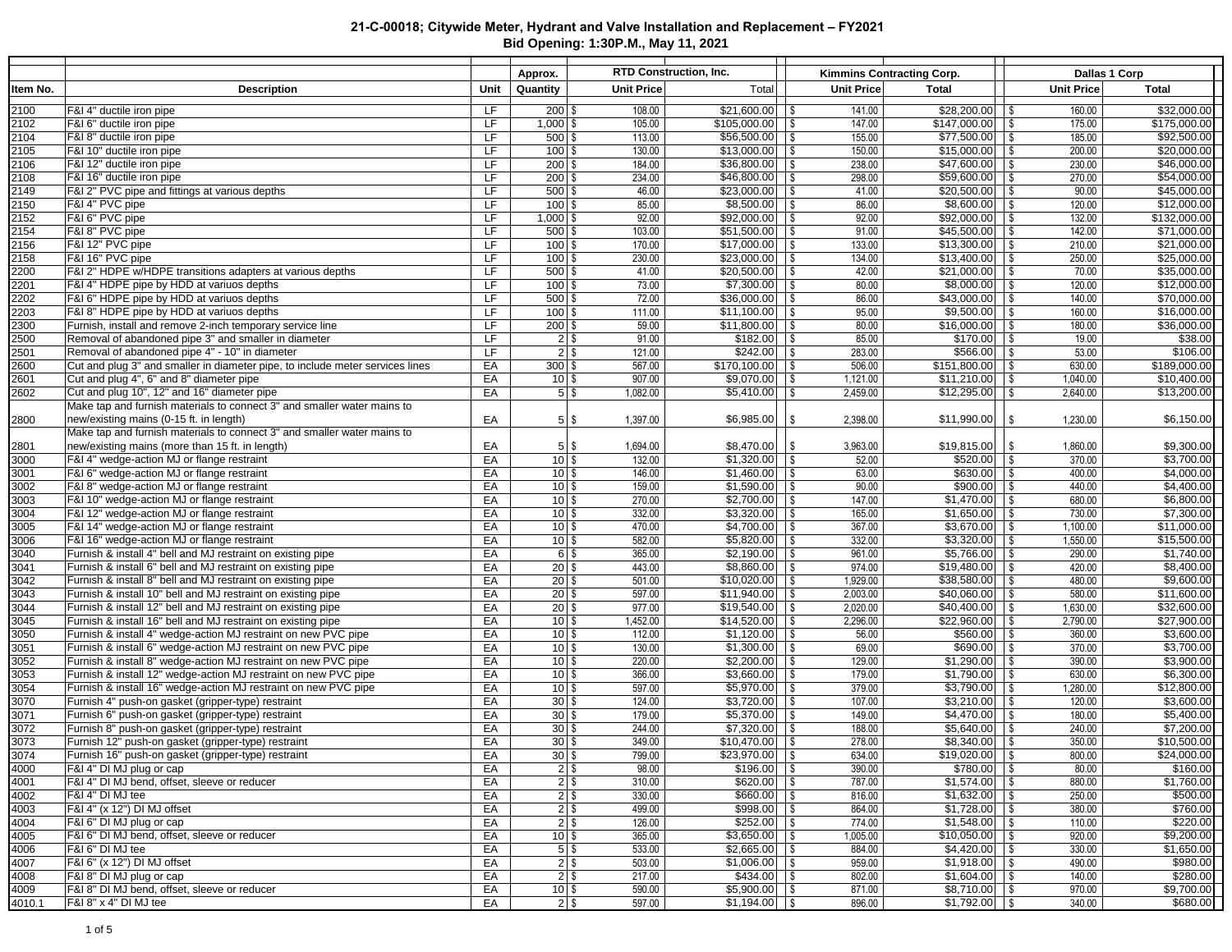|              |                                                                                                                                    |                        | Approx.                |                   | RTD Construction, Inc.     |                                             | Kimmins Contracting Corp.                |                        | Dallas 1 Corp              |
|--------------|------------------------------------------------------------------------------------------------------------------------------------|------------------------|------------------------|-------------------|----------------------------|---------------------------------------------|------------------------------------------|------------------------|----------------------------|
| Item No.     | <b>Description</b>                                                                                                                 | Unit                   | Quantity               | <b>Unit Price</b> | Total                      | Unit Price                                  | <b>Total</b>                             | <b>Unit Price</b>      | <b>Total</b>               |
| 2100         | F&I 4" ductile iron pipe                                                                                                           | <b>LF</b>              | $200$ \$               | 108.00            | \$21,600.00                | 141.00<br>$\sqrt{3}$                        |                                          | 160.00                 | \$32,000.00                |
| 2102         | F&I 6" ductile iron pipe                                                                                                           | <b>LF</b>              | $1,000$ \$             | 105.00            | $$105,000.00$ \ \ \$       | 147.00                                      | $$147,000.00$ \ \$                       | 175.00                 | \$175,000.00               |
| 2104         | F&I 8" ductile iron pipe                                                                                                           | LF                     | $500$ \$               | 113.00            | $$56,500.00$ \ \ \$        | 155.00                                      | $$77,500.00$ \ \ \$                      | 185.00                 | \$92,500.00                |
| 2105         | F&I 10" ductile iron pipe                                                                                                          | <b>LF</b>              | $100$ \$               | 130.00            | $$13,000.00$ \ \$          | 150.00                                      | $$15,000.00$ \ \$                        | 200.00                 | \$20,000.00                |
| 2106         | F&I 12" ductile iron pipe                                                                                                          | LF                     | $200$ \$               | 184.00            | $$36,800.00$ \ \ \$        | 238.00                                      | $$47,600.00$ \ \$                        | 230.00                 | \$46,000.00                |
| 2108         | F&I 16" ductile iron pipe<br>F&I 2" PVC pipe and fittings at various depths                                                        | <b>LF</b><br><b>LF</b> | $200$ \$<br>$500$ \$   | 234.00<br>46.00   | \$46,800.00<br>\$23,000.00 | $\vert$ \$<br>298.00<br>$\vert$ \$<br>41.00 | $$59,600.00$ \ \$<br>$$20,500.00$ \ \ \$ | 270.00<br>90.00        | \$54,000.00<br>\$45,000.00 |
| 2149<br>2150 | F&I 4" PVC pipe                                                                                                                    | <b>LF</b>              | $100$ \$               | 85.00             | \$8,500.00                 | 86.00<br>$\sqrt{S}$                         |                                          | 120.00                 | \$12,000.00                |
| 2152         | F&I 6" PVC pipe                                                                                                                    | <b>LF</b>              | $1,000$ \$             | 92.00             | \$92,000.00                | 92.00<br>$\sqrt{3}$                         | $$92,000.00$ \ \$                        | 132.00                 | \$132,000.00               |
| 2154         | F&I 8" PVC pipe                                                                                                                    | <b>LF</b>              | $500$ \$               | 103.00            | \$51,500.00                | 91.00<br>$\vert$ \$                         | $$45,500.00$ \ \$                        | 142.00                 | \$71,000.00                |
| 2156         | F&I 12" PVC pipe                                                                                                                   | <b>LF</b>              | $100$ \$               | 170.00            | $$17,000.00$ \ \ \$        | 133.00                                      | $$13,300.00$ \\$                         | 210.00                 | \$21,000.00                |
| 2158         | F&I 16" PVC pipe                                                                                                                   | LF                     | $100$ \$               | 230.00            | $$23,000.00$ \ \ \$        | 134.00                                      |                                          | 250.00                 | \$25,000.00                |
| 2200         | F&I 2" HDPE w/HDPE transitions adapters at various depths                                                                          | <b>LF</b>              | $500$ \$               | 41.00             | $$20,500.00$ \ \$          | 42.00                                       | $$21,000.00$ \ \ \$                      | 70.00                  | \$35,000.00                |
| 2201         | F&I 4" HDPE pipe by HDD at variuos depths                                                                                          | LF                     | $100$ \$               | 73.00             | \$7,300.00                 | $\sqrt{3}$<br>80.00                         | $$8,000.00$ \ \ \$                       | 120.00                 | \$12,000.00                |
| 2202         | F&I 6" HDPE pipe by HDD at variuos depths                                                                                          | <b>LF</b>              | $500$ \$               | 72.00             | \$36,000.00                | $\sqrt{3}$<br>86.00                         | $$43,000.00$ \ \ \$                      | 140.00                 | \$70,000.00                |
| 2203         | F&I 8" HDPE pipe by HDD at variuos depths                                                                                          | <b>LF</b>              | $100$ \$               | 111.00            | \$11,100.00                | $\sqrt{3}$<br>95.00                         | $$9,500.00$ \ \ \$                       | 160.00                 | \$16,000.00                |
| 2300<br>2500 | Furnish, install and remove 2-inch temporary service line                                                                          | LF<br>LF               | $200$ \$               | 59.00<br>91.00    | \$11,800.00                | 80.00<br>$\sqrt{3}$<br>85.00                | $$16,000.00$ \ \ \$                      | 180.00                 | \$36,000.00                |
| 2501         | Removal of abandoned pipe 3" and smaller in diameter                                                                               | LF                     | $2$ \$<br>$2$ \$       | 121.00            | \$182.00<br>\$242.00       | l \$<br>$\sqrt{3}$<br>283.00                | $$566.00$ \ \ \$                         | 19.00<br>53.00         | \$38.00<br>\$106.00        |
| 2600         | Removal of abandoned pipe 4" - 10" in diameter<br>Cut and plug 3" and smaller in diameter pipe, to include meter services lines    | EA                     | $300$ \$               | 567.00            | $$170,100.00$ \ \ \$       | 506.00                                      | $$151,800.00$ \\$                        | 630.00                 | \$189,000.00               |
| 2601         | Cut and plug 4", 6" and 8" diameter pipe                                                                                           | EA                     | $10$ \$                | 907.00            | $$9,070.00$ \ \ \$         | 1,121.00                                    |                                          | 1,040.00               | \$10,400.00                |
| 2602         | Cut and plug 10", 12" and 16" diameter pipe                                                                                        | EA                     | $5$ \$                 | 1,082.00          | \$5,410.00                 | 2,459.00<br>$\sqrt{3}$                      |                                          | 2,640.00               | \$13,200.00                |
|              | Make tap and furnish materials to connect 3" and smaller water mains to                                                            |                        |                        |                   |                            |                                             |                                          |                        |                            |
| 2800         | new/existing mains (0-15 ft. in length)                                                                                            | EA                     | $5$   \$               | 1,397.00          | \$6,985.00                 | 2,398.00<br>l \$                            | \$11,990.00                              | 1,230.00<br>$\sqrt{3}$ | \$6,150.00                 |
|              | Make tap and furnish materials to connect 3" and smaller water mains to                                                            |                        |                        |                   |                            |                                             |                                          |                        |                            |
| 2801         | new/existing mains (more than 15 ft. in length)                                                                                    | EA                     | $5$ \ $\sqrt{3}$       | 1,694.00          | \$8,470.00                 | 3,963.00<br>l \$                            | \$19,815.00                              | $\sqrt{3}$<br>1,860.00 | \$9,300.00                 |
| 3000         | F&I 4" wedge-action MJ or flange restraint                                                                                         | EA                     | $10$ $\sqrt{5}$        | 132.00            | \$1,320.00                 | 52.00<br>l \$                               | $$520.00$ \ \ \$                         | 370.00                 | \$3,700.00                 |
| 3001         | F&I 6" wedge-action MJ or flange restraint                                                                                         | EA                     | $10$ \ \$              | 146.00            |                            | 63.00                                       | $$630.00$ \ \ \$                         | 400.00                 | \$4,000.00                 |
| 3002         | F&I 8" wedge-action MJ or flange restraint                                                                                         | EA                     | $10$ \ \$              | 159.00            | $$1,590.00$ \\$            | 90.00                                       | $$900.00$ \ \ \$                         | 440.00                 | \$4,400.00                 |
| 3003<br>3004 | F&I 10" wedge-action MJ or flange restraint<br>F&I 12" wedge-action MJ or flange restraint                                         | EA                     | $10$ \ \$<br>$10$ \$   | 270.00<br>332.00  | \$3,320.00                 | 147.00<br>165.00                            | $$1,470.00$ \ \\$<br>$$1,650.00$ \ \$    | 680.00<br>730.00       | \$6,800.00<br>\$7,300.00   |
| 3005         | F&I 14" wedge-action MJ or flange restraint                                                                                        | EA<br>EA               | $10$ \ \$              | 470.00            | \$4,700.00                 | $\sqrt{3}$<br>$\vert$ \$<br>367.00          | $$3,670.00$ \\$                          | 1,100.00               | \$11,000.00                |
| 3006         | F&I 16" wedge-action MJ or flange restraint                                                                                        | EA                     | $10$ \ \$              | 582.00            | \$5,820.00                 | $\sqrt{3}$<br>332.00                        |                                          | 1,550.00               | \$15,500.00                |
| 3040         | Furnish & install 4" bell and MJ restraint on existing pipe                                                                        | EA                     | $6$   \$               | 365.00            | \$2,190.00                 | 961.00<br>$\sqrt{3}$                        | $$5,766.00$ \\$                          | 290.00                 | \$1,740.00                 |
| 3041         | Furnish & install 6" bell and MJ restraint on existing pipe                                                                        | EA                     | $20$ \$                | 443.00            | \$8,860.00                 | 974.00<br>$\sqrt{3}$                        | $$19,480.00$ \ \$                        | 420.00                 | \$8,400.00                 |
| 3042         | Furnish & install 8" bell and MJ restraint on existing pipe                                                                        | EA                     | $20$ \$                | 501.00            | $$10,020.00$ \ \ \$        | 1,929.00                                    | $$38,580.00$ \ \ \$                      | 480.00                 | \$9,600.00                 |
| 3043         | Furnish & install 10" bell and MJ restraint on existing pipe                                                                       | EA                     | $20$   \$              | 597.00            |                            | 2,003.00                                    | $$40,060.00$ \ \ \$                      | 580.00                 | \$11,600.00                |
| 3044         | Furnish & install 12" bell and MJ restraint on existing pipe                                                                       | EA                     | $20$   \$              | 977.00            | $$19,540.00$ \ \ \$        | 2,020.00                                    | $$40,400.00$ \ \ \$                      | 1,630.00               | \$32,600.00                |
| 3045         | Furnish & install 16" bell and MJ restraint on existing pipe                                                                       | EA                     | $10$ \ \$              | 1,452.00          | \$14,520.00                | $\sqrt{3}$<br>2,296.00                      | $$22,960.00$ \ \ \$                      | 2,790.00               | \$27,900.00                |
| 3050         | Furnish & install 4" wedge-action MJ restraint on new PVC pipe                                                                     | EA                     | $10$ \ \$              | 112.00            | \$1,120.00                 | $\sqrt{3}$<br>56.00                         | $$560.00$ \ \ \$                         | 360.00                 | \$3,600.00                 |
| 3051         | Furnish & install 6" wedge-action MJ restraint on new PVC pipe                                                                     | EA                     | $10$ \ \$              | 130.00            | \$1,300.00                 | 69.00<br>$\sqrt{3}$                         | $$690.00$ \ \$                           | 370.00                 | \$3,700.00                 |
| 3052<br>3053 | Furnish & install 8" wedge-action MJ restraint on new PVC pipe                                                                     | EA                     | $10$ $\sqrt{5}$        | 220.00<br>366.00  | \$2,200.00                 | 129.00<br>$\sqrt{3}$                        |                                          | 390.00                 | \$3,900.00                 |
| 3054         | Furnish & install 12" wedge-action MJ restraint on new PVC pipe<br>Furnish & install 16" wedge-action MJ restraint on new PVC pipe | EA<br>EA               | $10$ \ \$<br>$10$ \ \$ | 597.00            | \$3,660.00<br>\$5,970.00   | l \$<br>179.00<br>$\sqrt{3}$<br>379.00      | $$1,790.00$ \ \ \$                       | 630.00<br>1,280.00     | \$6,300.00<br>\$12,800.00  |
| 3070         | Furnish 4" push-on gasket (gripper-type) restraint                                                                                 | EA                     | $30$ \$                | 124.00            | $$3,720.00$ \ \ \$         | 107.00                                      |                                          | 120.00                 | \$3,600.00                 |
| 3071         | Furnish 6" push-on gasket (gripper-type) restraint                                                                                 | EA                     | $30$ \ $\frac{1}{3}$   | 179.00            | $$5,370.00$ \ \ \$         | 149.00                                      | $$4,470.00$ \\$                          | 180.00                 | \$5,400.00                 |
| 3072         | Furnish 8" push-on gasket (gripper-type) restraint                                                                                 | EA                     | $30$ \$                | 244.00            |                            | 188.00                                      | $$5,640.00$ \ \ \$                       | 240.00                 | \$7,200.00                 |
| 3073         | Furnish 12" push-on gasket (gripper-type) restraint                                                                                | EA                     | $30$   \$              | 349.00            |                            | 278.00                                      |                                          | 350.00                 | \$10.500.00                |
| 3074         | Furnish 16" push-on gasket (gripper-type) restraint                                                                                | EA                     | $30$ \$                | 799.00            | $$23,970.00$ \\$           | 634.00                                      | $$19,020.00$ \ \$                        | 800.00                 | \$24,000.00                |
| 4000         | F&I 4" DI MJ plug or cap                                                                                                           | EA                     | $2$   \$               | 98.00             | $$196.00$ \ \ \$           | 390.00                                      | $$780.00$ \ \ \$                         | 80.00                  | \$160.00                   |
| 4001         | F&I 4" DI MJ bend, offset, sleeve or reducer                                                                                       | EA                     | $2$ \$                 | 310.00            | $$620.00$ \ \$             | 787.00                                      |                                          | 880.00                 | \$1,760.00                 |
| 4002         | F&I 4" DI MJ tee                                                                                                                   | EA                     | $2$   \$               | 330.00            | $$660.00$ \ \ \$           | 816.00                                      | $$1,632.00$ \\$                          | 250.00                 | \$500.00                   |
| 4003         | F&I 4" (x 12") DI MJ offset                                                                                                        | EA                     | $2$   \$               | 499.00            | $$998.00$ \ \ \$           | 864.00                                      |                                          | 380.00                 | \$760.00                   |
| 4004         | F&I 6" DI MJ plug or cap                                                                                                           | EA                     | $2$   \$               | 126.00            |                            | 774.00                                      | $$1,548.00$ \\$                          | 110.00                 | \$220.00                   |
| 4005         | F&I 6" DI MJ bend, offset, sleeve or reducer                                                                                       | EA                     | $10$ \ \$              | 365.00            |                            | 1,005.00                                    | $$10,050.00$ \\$                         | 920.00                 | \$9,200.00                 |
| 4006<br>4007 | F&I 6" DI MJ tee<br>F&I 6" (x 12") DI MJ offset                                                                                    | EA<br>EA               | $5$ \$<br>$2$ \$       | 533.00<br>503.00  | $$1,006.00$ \ \ \$         | 884.00<br>959.00                            | $$4,420.00$ \\$<br>$$1,918.00$ \ \ \$    | 330.00<br>490.00       | \$1,650.00<br>\$980.00     |
| 4008         | F&I 8" DI MJ plug or cap                                                                                                           | EA                     | $2$ \$                 | 217.00            |                            | 802.00                                      | $$1,604.00$ \ \ \$                       | 140.00                 | \$280.00                   |
| 4009         | F&I 8" DI MJ bend, offset, sleeve or reducer                                                                                       | EA                     | $10$ \$                | 590.00            | $$5,900.00$ \ \ \$         | 871.00                                      |                                          | 970.00                 | \$9,700.00                 |
| 4010.1       | F&I 8" x 4" DI MJ tee                                                                                                              | EA                     | $2$ \$                 | 597.00            |                            | 896.00                                      |                                          | 340.00                 | \$680.00                   |
|              |                                                                                                                                    |                        |                        |                   |                            |                                             |                                          |                        |                            |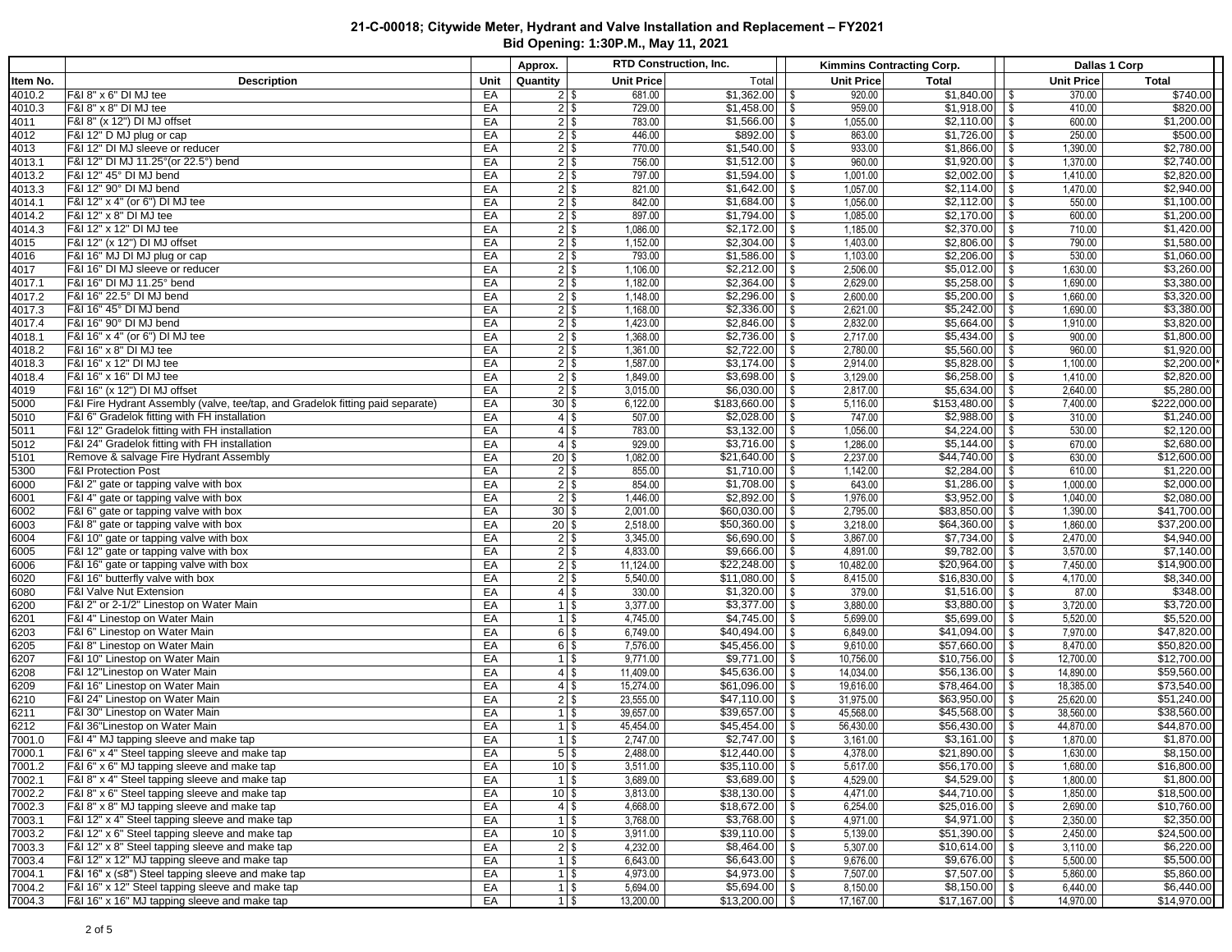| Total<br>Quantity<br>Unit Price<br>Unit Price<br><b>Unit Price</b><br><b>Total</b><br>ltem No.<br><b>Description</b><br>Unit<br><b>Total</b><br>F&I 8" x 6" DI MJ tee<br>681.00<br>$$1,362.00$ \ \ \$<br>920.00<br>\$740.00<br>370.00<br>4010.2<br>EA<br>$21$ \$<br>F&I 8" x 8" DI MJ tee<br>\$820.00<br>EA<br>$2$ \$<br>729.00<br>959.00<br>410.00<br>4010.3<br>783.00<br>$$1,566.00$ \ \ \$<br>\$1,200.00<br>4011<br>F&I 8" (x 12") DI MJ offset<br>EA<br>$2$ \$<br>1,055.00<br>600.00<br>\$500.00<br>F&I 12" D MJ plug or cap<br>446.00<br>$$892.00$ \ \ \$<br>863.00<br>$$1,726.00$ \\$<br>250.00<br>4012<br>EA<br>$2$ \$<br>F&I 12" DI MJ sleeve or reducer<br>$2$ \$<br>770.00<br>933.00<br>$$1,866.00$ \\$<br>1,390.00<br>\$2,780.00<br>4013<br>EA<br>F&I 12" DI MJ 11.25° (or 22.5°) bend<br>756.00<br>960.00<br>$$1,920.00$ \ \ \$<br>\$2,740.00<br>4013.1<br>EA<br>$2$ \$<br>1,370.00<br>797.00<br>\$2,820.00<br>4013.2<br>F&I 12" 45° DI MJ bend<br>EA<br>$2$ \$<br>1,001.00<br>1,410.00<br>$2$ \$<br>821.00<br>1,057.00<br>$$2,114.00$ \\$<br>\$2,940.00<br>4013.3<br>F&I 12" 90° DI MJ bend<br>EA<br>1,470.00<br>F&I 12" x 4" (or 6") DI MJ tee<br>$2$ \$<br>842.00<br>1,056.00<br>550.00<br>\$1,100.00<br>4014.1<br>EA<br>897.00<br>1,085.00<br>$$2,170.00$ \\$<br>\$1,200.00<br>4014.2<br>F&I 12" x 8" DI MJ tee<br>EA<br>$2$ \$<br>600.00<br>F&I 12" x 12" DI MJ tee<br>$2$ \$<br>$$2,370.00$ \\$<br>\$1,420.00<br>4014.3<br>EA<br>1,086.00<br>1,185.00<br>710.00<br>$2$ \$<br>1,152.00<br>1,403.00<br>$$2,806.00$ \\$<br>790.00<br>\$1,580.00<br>4015<br>F&I 12" (x 12") DI MJ offset<br>EA<br>$2$ \$<br>793.00<br>$$1,586.00$ \ \ \$<br>1,103.00<br>\$1,060.00<br>4016<br>F&I 16" MJ DI MJ plug or cap<br>EA<br>530.00<br>4017<br>F&I 16" DI MJ sleeve or reducer<br>EA<br>$2$ \$<br>1,106.00<br>\$2,212.00<br>$\sqrt{ }$<br>2,506.00<br>$$5,012.00$ \\$<br>1,630.00<br>\$3,260.00<br>4017.1<br>F&I 16" DI MJ 11.25° bend<br>EA<br>$2$ \$<br>1,182.00<br>\$2,364.00<br>2,629.00<br>$$5,258.00$ \ \ \$<br>1,690.00<br>\$3,380.00<br>$\vert$ \$<br>$2$ \ $\frac{1}{2}$<br>1,148.00<br>\$2,296.00<br>2,600.00<br>4017.2<br>F&I 16" 22.5° DI MJ bend<br>EA<br>$\sqrt{3}$<br>$$5,200.00$ \ \ \ \$<br>1,660.00<br>\$3,320.00<br>1,168.00<br>2,621.00<br>4017.3<br>EA<br>$2$ \$<br>\$2,336.00<br>$\sqrt{3}$<br>$$5,242.00$ \\$<br>1,690.00<br>\$3,380.00<br>F&I 16" 45° DI MJ bend<br>1,423.00<br>2,832.00<br>4017.4<br>F&I 16" 90° DI MJ bend<br>EA<br>$2$ \ $\sqrt$<br>$$5,664.00$ \ \ \$<br>1,910.00<br>\$3,820.00<br>1,368.00<br>2,717.00<br>4018.1<br>F&I 16" x 4" (or 6") DI MJ tee<br>EA<br>$2$ \$<br>$$5,434.00$ \\$<br>900.00<br>\$1,800.00<br>$2$ \$<br>2,780.00<br>4018.2<br>EA<br>1,361.00<br>$$5,560.00$ \ \ \$<br>960.00<br>\$1,920.00<br>F&I 16" x 8" DI MJ tee<br>F&I 16" x 12" DI MJ tee<br>EA<br>$2$ \$<br>1,587.00<br>2,914.00<br>$$5,828.00$ \\$<br>\$2,200.00<br>4018.3<br>1,100.00<br>F&I 16" x 16" DI MJ tee<br>EA<br>$2$ \$<br>1,849.00<br>$$3,698.00$ \ \ \$<br>3,129.00<br>$$6,258.00$ \ \\$<br>\$2,820.00<br>4018.4<br>1,410.00<br>F&I 16" (x 12") DI MJ offset<br>EA<br>$2$ \$<br>3,015.00<br>$$6,030.00$ \ \ \$<br>2,817.00<br>$$5,634.00$ \ \ \$<br>2,640.00<br>\$5,280.00<br>4019<br>$$183,660.00$ \ \ \$<br>\$222,000.00<br>5000<br>F&I Fire Hydrant Assembly (valve, tee/tap, and Gradelok fitting paid separate)<br>EA<br>$30 $ \$<br>6,122.00<br>5,116.00<br>7,400.00<br>F&I 6" Gradelok fitting with FH installation<br>507.00<br>\$2,028.00<br>747.00<br>\$2,988.00<br>\$1,240.00<br>5010<br>EA<br>$\vert$ \$<br>$\sqrt{3}$<br>310.00<br>$4$   \$<br>F&I 12" Gradelok fitting with FH installation<br>783.00<br>1,056.00<br>$$4,224.00$ \ \$<br>530.00<br>\$2,120.00<br>5011<br>EA<br>$4$ \ $\sqrt{3}$<br>F&I 24" Gradelok fitting with FH installation<br>929.00<br>$$5,144.00$ \ \ \$<br>\$2,680.00<br>5012<br>EA<br>$4$ \ $\frac{6}{3}$<br>1,286.00<br>670.00<br>1,082.00<br>2,237.00<br>\$12,600.00<br>Remove & salvage Fire Hydrant Assembly<br>EA<br>$20$ \$<br>630.00<br>5101<br>\$1,220.00<br><b>F&amp;I Protection Post</b><br>855.00<br>$\sqrt{$2,284.00}$ \ \\$<br>5300<br>EA<br>$2$ \$<br>1,142.00<br>610.00<br>F&I 2" gate or tapping valve with box<br>$2$ \$<br>854.00<br>643.00<br>$$1,286.00$ \\$<br>1,000.00<br>\$2,000.00<br>6000<br>EA<br>F&I 4" gate or tapping valve with box<br>$2$ \$<br>1,446.00<br>1,976.00<br>$$3,952.00$ \ \$<br>\$2,080.00<br>6001<br>EA<br>1,040.00<br>\$60,030.00<br>\$41,700.00<br>6002<br>F&I 6" gate or tapping valve with box<br>EA<br>$30$ \ $\frac{1}{3}$<br>2,001.00<br>$\sqrt{3}$<br>2,795.00<br>$$83,850.00$ \ \ \ \$<br>1,390.00<br>$20$ \$<br>2,518.00<br>\$50,360.00<br>3,218.00<br>$$64,360.00$ \ \ \$<br>\$37,200.00<br>6003<br>F&I 8" gate or tapping valve with box<br>EA<br>$\sqrt{3}$<br>1,860.00<br>F&I 10" gate or tapping valve with box<br>$2$ \ $\frac{1}{2}$<br>3,345.00<br>\$6,690.00<br>$\vert$ \$<br>3,867.00<br>\$4,940.00<br>6004<br>EA<br>2,470.00<br>4,833.00<br>$$9,666.00$ \\$<br>6005<br>F&I 12" gate or tapping valve with box<br>EA<br>$2$ \$<br>4,891.00<br>$$9,782.00$ \\$<br>3,570.00<br>\$7,140.00<br>$2$ \$<br>F&I 16" gate or tapping valve with box<br>EA<br>11,124.00<br>10,482.00<br>$$20,964.00$ \ \ \$<br>7,450.00<br>\$14,900.00<br>6006<br>5,540.00<br>$$11,080.00$ \ \ \$<br>6020<br>F&I 16" butterfly valve with box<br>EA<br>$2$ \$<br>8,415.00<br>$$16,830.00$ \ \ \$<br>4,170.00<br>\$8,340.00<br>330.00<br>\$348.00<br>6080<br>F&I Valve Nut Extension<br>EA<br>$4$ \ $\frac{6}{3}$<br>379.00<br>87.00<br>6200<br>F&I 2" or 2-1/2" Linestop on Water Main<br>EA<br>$1$ \ $\sqrt$<br>3,377.00<br>3,880.00<br>$$3,880.00$ \ \ \$<br>3,720.00<br>\$3,720.00<br>5,699.00<br>6201<br>EA<br>4,745.00<br>\$4,745.00<br>$$5,699.00$ \ \ \$<br>5,520.00<br>\$5,520.00<br>F&I 4" Linestop on Water Main<br>$1$   \$<br>$\sqrt{3}$<br>6,749.00<br>6,849.00<br>6203<br>EA<br>$6$ \ $$$<br>\$40,494.00<br>\$41,094.00<br>7,970.00<br>\$47,820.00<br>F&I 6" Linestop on Water Main<br>$\sqrt{3}$<br>$\sqrt{ }$<br>7,576.00<br>9,610.00<br>6205<br>F&I 8" Linestop on Water Main<br>EA<br>\$45,456.00<br>$\sqrt{3}$<br>$$57,660.00$ \\$<br>8,470.00<br>\$50,820.00<br>$6$   \$<br>6207<br>F&I 10" Linestop on Water Main<br>EA<br>$1$ \ $\sqrt$<br>9,771.00<br>$$9,771.00$ \ \ \$<br>10,756.00<br>$$10,756.00$ \ \ \$<br>12,700.00<br>\$12,700.00<br>F&I 12"Linestop on Water Main<br>11,409.00<br>$$45,636.00$ \ \ \$<br>14,034.00<br>$$56,136.00$ \ \$<br>14,890.00<br>\$59,560.00<br>6208<br>EA<br>$4$ \ $\frac{6}{3}$<br>\$73,540.00<br>F&I 16" Linestop on Water Main<br>$$61,096.00$ \ \$<br>$\sqrt{$78,464.00}$ \ \$<br>6209<br>EA<br>15,274.00<br>19,616.00<br>18,385.00<br>\$51,240.00<br>F&I 24" Linestop on Water Main<br>EA<br>$2$ \$<br>23,555.00<br>$$47,110.00$ \ \ \$<br>$$63,950.00$ \ \\$<br>6210<br>31,975.00<br>25,620.00<br>F&I 30" Linestop on Water Main<br>$$39,657.00$ \ \ \$<br>$$45,568.00$ \ \$<br>\$38,560.00<br>6211<br>EA<br>$1$ \ $\sqrt$<br>39,657.00<br>45,568.00<br>38,560.00<br>$$45,454.00$ \ \ \$<br>56,430.00<br>\$44,870.00<br>6212<br>F&I 36"Linestop on Water Main<br>EA<br>$1$ \ $\sqrt$<br>45,454.00<br>$$56,430.00$ \ \ \$<br>44,870.00<br>$\overline{$1,870.00}$<br>7001.0<br><b>F&amp;I 4" MJ tapping sleeve and make tap</b><br>EA<br>$1$ \ $\sqrt$<br>2,747.00<br>3,161.00<br>1,870.00<br>EA<br>$5$ \$<br>\$8,150.00<br>F&I 6" x 4" Steel tapping sleeve and make tap<br>2,488.00<br>4,378.00<br>1,630.00<br>7000.1<br>$$56,170.00$ \ \ \$<br>\$16,800.00<br>F&I 6" x 6" MJ tapping sleeve and make tap<br>EA<br>$10$ \ \$<br>3,511.00<br>5,617.00<br>1,680.00<br>7001.2<br>F&I 8" x 4" Steel tapping sleeve and make tap<br>$\overline{$3,689.00}$ \ \$<br>EA<br>$1$   \$<br>3,689.00<br>4,529.00<br>\$1,800.00<br>7002.1<br>1,800.00<br>F&I 8" x 6" Steel tapping sleeve and make tap<br>$$38,130.00$ \ \ \$<br>\$18,500.00<br>7002.2<br>EA<br>$10$ \ \$<br>3,813.00<br>4,471.00<br>$$44,710.00$ \ \ \$<br>1,850.00<br>F&I 8" x 8" MJ tapping sleeve and make tap<br>$$18,672.00$ \ \\$<br>7002.3<br>EA<br>4,668.00<br>6,254.00<br>$$25,016.00$ \ \ \$<br>2,690.00<br>\$10,760.00<br>$4 \mid$ \$<br>$1$ \$<br>3,768.00<br>$$4,971.00$ \ \ \$<br>\$2,350.00<br>7003.1<br>F&I 12" x 4" Steel tapping sleeve and make tap<br>EA<br>4,971.00<br>2,350.00<br>7003.2<br>F&I 12" x 6" Steel tapping sleeve and make tap<br>EA<br>$10$ \$<br>3,911.00<br>5,139.00<br>$$51,390.00$ \ \ \$<br>2,450.00<br>\$24,500.00<br>7003.3<br>F&I 12" x 8" Steel tapping sleeve and make tap<br>EA<br>$2$ \$<br>4,232.00<br>5,307.00<br>$$10,614.00$ \ \ \$<br>3,110.00<br>\$6,220.00<br>7003.4<br>F&I 12" x 12" MJ tapping sleeve and make tap<br>EA<br>6,643.00<br>$$6,643.00$ \ \ \$<br>9,676.00<br>$$9,676.00$ \ \ \$<br>\$5,500.00<br>$1 \mid$ \$<br>5,500.00<br>7004.1<br>F&I 16" $x$ ( $\leq$ 8") Steel tapping sleeve and make tap<br>EA<br>$1 \,$ \$<br>4,973.00<br>7,507.00<br>$$7,507.00$ \ \ \$<br>5,860.00<br>\$5,860.00<br>7004.2<br>F&I 16" x 12" Steel tapping sleeve and make tap<br>EA<br>$1$   \$<br>5,694.00<br>$$5,694.00$ \ \ \$<br>8,150.00<br>$$8,150.00$ \\$<br>6,440.00<br>\$6,440.00<br>7004.3<br>F&I 16" x 16" MJ tapping sleeve and make tap<br>EA<br>$1$   \$<br>13,200.00<br>17,167.00<br>14,970.00<br>\$14,970.00 |  | Approx. | RTD Construction, Inc. | Kimmins Contracting Corp. | Dallas 1 Corp |
|------------------------------------------------------------------------------------------------------------------------------------------------------------------------------------------------------------------------------------------------------------------------------------------------------------------------------------------------------------------------------------------------------------------------------------------------------------------------------------------------------------------------------------------------------------------------------------------------------------------------------------------------------------------------------------------------------------------------------------------------------------------------------------------------------------------------------------------------------------------------------------------------------------------------------------------------------------------------------------------------------------------------------------------------------------------------------------------------------------------------------------------------------------------------------------------------------------------------------------------------------------------------------------------------------------------------------------------------------------------------------------------------------------------------------------------------------------------------------------------------------------------------------------------------------------------------------------------------------------------------------------------------------------------------------------------------------------------------------------------------------------------------------------------------------------------------------------------------------------------------------------------------------------------------------------------------------------------------------------------------------------------------------------------------------------------------------------------------------------------------------------------------------------------------------------------------------------------------------------------------------------------------------------------------------------------------------------------------------------------------------------------------------------------------------------------------------------------------------------------------------------------------------------------------------------------------------------------------------------------------------------------------------------------------------------------------------------------------------------------------------------------------------------------------------------------------------------------------------------------------------------------------------------------------------------------------------------------------------------------------------------------------------------------------------------------------------------------------------------------------------------------------------------------------------------------------------------------------------------------------------------------------------------------------------------------------------------------------------------------------------------------------------------------------------------------------------------------------------------------------------------------------------------------------------------------------------------------------------------------------------------------------------------------------------------------------------------------------------------------------------------------------------------------------------------------------------------------------------------------------------------------------------------------------------------------------------------------------------------------------------------------------------------------------------------------------------------------------------------------------------------------------------------------------------------------------------------------------------------------------------------------------------------------------------------------------------------------------------------------------------------------------------------------------------------------------------------------------------------------------------------------------------------------------------------------------------------------------------------------------------------------------------------------------------------------------------------------------------------------------------------------------------------------------------------------------------------------------------------------------------------------------------------------------------------------------------------------------------------------------------------------------------------------------------------------------------------------------------------------------------------------------------------------------------------------------------------------------------------------------------------------------------------------------------------------------------------------------------------------------------------------------------------------------------------------------------------------------------------------------------------------------------------------------------------------------------------------------------------------------------------------------------------------------------------------------------------------------------------------------------------------------------------------------------------------------------------------------------------------------------------------------------------------------------------------------------------------------------------------------------------------------------------------------------------------------------------------------------------------------------------------------------------------------------------------------------------------------------------------------------------------------------------------------------------------------------------------------------------------------------------------------------------------------------------------------------------------------------------------------------------------------------------------------------------------------------------------------------------------------------------------------------------------------------------------------------------------------------------------------------------------------------------------------------------------------------------------------------------------------------------------------------------------------------------------------------------------------------------------------------------------------------------------------------------------------------------------------------------------------------------------------------------------------------------------------------------------------------------------------------------------------------------------------------------------------------------------------------------------------------------------------------------------------------------------------------------------------------------------------------------------------------------------------------------------------------------------------------------------------------------------------------------------------------------------------------------------------------------------------------------------------------------------------------------------------------------------------------------------------------------------------------------------------------------------------------------------------------------------------------------------------------------------------------------------------------------------------------------------------------------------------------------------------------------------------------------------------------------------------------------------------------------------------------------------------------------------------------------------------------------------------------------------------------------------------------------------------------------------------------------------------------------------------------------------------------------------------------------------------------------------------------------------------------------------------------------------------------------------------------------------------------------------------------------------------------------------------------------------------------------------------------------------------------------------------------------------------------------------------------------------------------------------------------------------------------------------------------------------------------------------------------------------------------------------------------------------------------------------------------------------------------------------------------------------------|--|---------|------------------------|---------------------------|---------------|
|                                                                                                                                                                                                                                                                                                                                                                                                                                                                                                                                                                                                                                                                                                                                                                                                                                                                                                                                                                                                                                                                                                                                                                                                                                                                                                                                                                                                                                                                                                                                                                                                                                                                                                                                                                                                                                                                                                                                                                                                                                                                                                                                                                                                                                                                                                                                                                                                                                                                                                                                                                                                                                                                                                                                                                                                                                                                                                                                                                                                                                                                                                                                                                                                                                                                                                                                                                                                                                                                                                                                                                                                                                                                                                                                                                                                                                                                                                                                                                                                                                                                                                                                                                                                                                                                                                                                                                                                                                                                                                                                                                                                                                                                                                                                                                                                                                                                                                                                                                                                                                                                                                                                                                                                                                                                                                                                                                                                                                                                                                                                                                                                                                                                                                                                                                                                                                                                                                                                                                                                                                                                                                                                                                                                                                                                                                                                                                                                                                                                                                                                                                                                                                                                                                                                                                                                                                                                                                                                                                                                                                                                                                                                                                                                                                                                                                                                                                                                                                                                                                                                                                                                                                                                                                                                                                                                                                                                                                                                                                                                                                                                                                                                                                                                                                                                                                                                                                                                                                                                                                                                                                                                                                                                                                                                                                                                                                                                                                                                                                                                                                                                                                                                                                                                                                                                                                                        |  |         |                        |                           |               |
|                                                                                                                                                                                                                                                                                                                                                                                                                                                                                                                                                                                                                                                                                                                                                                                                                                                                                                                                                                                                                                                                                                                                                                                                                                                                                                                                                                                                                                                                                                                                                                                                                                                                                                                                                                                                                                                                                                                                                                                                                                                                                                                                                                                                                                                                                                                                                                                                                                                                                                                                                                                                                                                                                                                                                                                                                                                                                                                                                                                                                                                                                                                                                                                                                                                                                                                                                                                                                                                                                                                                                                                                                                                                                                                                                                                                                                                                                                                                                                                                                                                                                                                                                                                                                                                                                                                                                                                                                                                                                                                                                                                                                                                                                                                                                                                                                                                                                                                                                                                                                                                                                                                                                                                                                                                                                                                                                                                                                                                                                                                                                                                                                                                                                                                                                                                                                                                                                                                                                                                                                                                                                                                                                                                                                                                                                                                                                                                                                                                                                                                                                                                                                                                                                                                                                                                                                                                                                                                                                                                                                                                                                                                                                                                                                                                                                                                                                                                                                                                                                                                                                                                                                                                                                                                                                                                                                                                                                                                                                                                                                                                                                                                                                                                                                                                                                                                                                                                                                                                                                                                                                                                                                                                                                                                                                                                                                                                                                                                                                                                                                                                                                                                                                                                                                                                                                                                        |  |         |                        |                           |               |
|                                                                                                                                                                                                                                                                                                                                                                                                                                                                                                                                                                                                                                                                                                                                                                                                                                                                                                                                                                                                                                                                                                                                                                                                                                                                                                                                                                                                                                                                                                                                                                                                                                                                                                                                                                                                                                                                                                                                                                                                                                                                                                                                                                                                                                                                                                                                                                                                                                                                                                                                                                                                                                                                                                                                                                                                                                                                                                                                                                                                                                                                                                                                                                                                                                                                                                                                                                                                                                                                                                                                                                                                                                                                                                                                                                                                                                                                                                                                                                                                                                                                                                                                                                                                                                                                                                                                                                                                                                                                                                                                                                                                                                                                                                                                                                                                                                                                                                                                                                                                                                                                                                                                                                                                                                                                                                                                                                                                                                                                                                                                                                                                                                                                                                                                                                                                                                                                                                                                                                                                                                                                                                                                                                                                                                                                                                                                                                                                                                                                                                                                                                                                                                                                                                                                                                                                                                                                                                                                                                                                                                                                                                                                                                                                                                                                                                                                                                                                                                                                                                                                                                                                                                                                                                                                                                                                                                                                                                                                                                                                                                                                                                                                                                                                                                                                                                                                                                                                                                                                                                                                                                                                                                                                                                                                                                                                                                                                                                                                                                                                                                                                                                                                                                                                                                                                                                                        |  |         |                        |                           |               |
|                                                                                                                                                                                                                                                                                                                                                                                                                                                                                                                                                                                                                                                                                                                                                                                                                                                                                                                                                                                                                                                                                                                                                                                                                                                                                                                                                                                                                                                                                                                                                                                                                                                                                                                                                                                                                                                                                                                                                                                                                                                                                                                                                                                                                                                                                                                                                                                                                                                                                                                                                                                                                                                                                                                                                                                                                                                                                                                                                                                                                                                                                                                                                                                                                                                                                                                                                                                                                                                                                                                                                                                                                                                                                                                                                                                                                                                                                                                                                                                                                                                                                                                                                                                                                                                                                                                                                                                                                                                                                                                                                                                                                                                                                                                                                                                                                                                                                                                                                                                                                                                                                                                                                                                                                                                                                                                                                                                                                                                                                                                                                                                                                                                                                                                                                                                                                                                                                                                                                                                                                                                                                                                                                                                                                                                                                                                                                                                                                                                                                                                                                                                                                                                                                                                                                                                                                                                                                                                                                                                                                                                                                                                                                                                                                                                                                                                                                                                                                                                                                                                                                                                                                                                                                                                                                                                                                                                                                                                                                                                                                                                                                                                                                                                                                                                                                                                                                                                                                                                                                                                                                                                                                                                                                                                                                                                                                                                                                                                                                                                                                                                                                                                                                                                                                                                                                                                        |  |         |                        |                           |               |
|                                                                                                                                                                                                                                                                                                                                                                                                                                                                                                                                                                                                                                                                                                                                                                                                                                                                                                                                                                                                                                                                                                                                                                                                                                                                                                                                                                                                                                                                                                                                                                                                                                                                                                                                                                                                                                                                                                                                                                                                                                                                                                                                                                                                                                                                                                                                                                                                                                                                                                                                                                                                                                                                                                                                                                                                                                                                                                                                                                                                                                                                                                                                                                                                                                                                                                                                                                                                                                                                                                                                                                                                                                                                                                                                                                                                                                                                                                                                                                                                                                                                                                                                                                                                                                                                                                                                                                                                                                                                                                                                                                                                                                                                                                                                                                                                                                                                                                                                                                                                                                                                                                                                                                                                                                                                                                                                                                                                                                                                                                                                                                                                                                                                                                                                                                                                                                                                                                                                                                                                                                                                                                                                                                                                                                                                                                                                                                                                                                                                                                                                                                                                                                                                                                                                                                                                                                                                                                                                                                                                                                                                                                                                                                                                                                                                                                                                                                                                                                                                                                                                                                                                                                                                                                                                                                                                                                                                                                                                                                                                                                                                                                                                                                                                                                                                                                                                                                                                                                                                                                                                                                                                                                                                                                                                                                                                                                                                                                                                                                                                                                                                                                                                                                                                                                                                                                                        |  |         |                        |                           |               |
|                                                                                                                                                                                                                                                                                                                                                                                                                                                                                                                                                                                                                                                                                                                                                                                                                                                                                                                                                                                                                                                                                                                                                                                                                                                                                                                                                                                                                                                                                                                                                                                                                                                                                                                                                                                                                                                                                                                                                                                                                                                                                                                                                                                                                                                                                                                                                                                                                                                                                                                                                                                                                                                                                                                                                                                                                                                                                                                                                                                                                                                                                                                                                                                                                                                                                                                                                                                                                                                                                                                                                                                                                                                                                                                                                                                                                                                                                                                                                                                                                                                                                                                                                                                                                                                                                                                                                                                                                                                                                                                                                                                                                                                                                                                                                                                                                                                                                                                                                                                                                                                                                                                                                                                                                                                                                                                                                                                                                                                                                                                                                                                                                                                                                                                                                                                                                                                                                                                                                                                                                                                                                                                                                                                                                                                                                                                                                                                                                                                                                                                                                                                                                                                                                                                                                                                                                                                                                                                                                                                                                                                                                                                                                                                                                                                                                                                                                                                                                                                                                                                                                                                                                                                                                                                                                                                                                                                                                                                                                                                                                                                                                                                                                                                                                                                                                                                                                                                                                                                                                                                                                                                                                                                                                                                                                                                                                                                                                                                                                                                                                                                                                                                                                                                                                                                                                                                        |  |         |                        |                           |               |
|                                                                                                                                                                                                                                                                                                                                                                                                                                                                                                                                                                                                                                                                                                                                                                                                                                                                                                                                                                                                                                                                                                                                                                                                                                                                                                                                                                                                                                                                                                                                                                                                                                                                                                                                                                                                                                                                                                                                                                                                                                                                                                                                                                                                                                                                                                                                                                                                                                                                                                                                                                                                                                                                                                                                                                                                                                                                                                                                                                                                                                                                                                                                                                                                                                                                                                                                                                                                                                                                                                                                                                                                                                                                                                                                                                                                                                                                                                                                                                                                                                                                                                                                                                                                                                                                                                                                                                                                                                                                                                                                                                                                                                                                                                                                                                                                                                                                                                                                                                                                                                                                                                                                                                                                                                                                                                                                                                                                                                                                                                                                                                                                                                                                                                                                                                                                                                                                                                                                                                                                                                                                                                                                                                                                                                                                                                                                                                                                                                                                                                                                                                                                                                                                                                                                                                                                                                                                                                                                                                                                                                                                                                                                                                                                                                                                                                                                                                                                                                                                                                                                                                                                                                                                                                                                                                                                                                                                                                                                                                                                                                                                                                                                                                                                                                                                                                                                                                                                                                                                                                                                                                                                                                                                                                                                                                                                                                                                                                                                                                                                                                                                                                                                                                                                                                                                                                                        |  |         |                        |                           |               |
|                                                                                                                                                                                                                                                                                                                                                                                                                                                                                                                                                                                                                                                                                                                                                                                                                                                                                                                                                                                                                                                                                                                                                                                                                                                                                                                                                                                                                                                                                                                                                                                                                                                                                                                                                                                                                                                                                                                                                                                                                                                                                                                                                                                                                                                                                                                                                                                                                                                                                                                                                                                                                                                                                                                                                                                                                                                                                                                                                                                                                                                                                                                                                                                                                                                                                                                                                                                                                                                                                                                                                                                                                                                                                                                                                                                                                                                                                                                                                                                                                                                                                                                                                                                                                                                                                                                                                                                                                                                                                                                                                                                                                                                                                                                                                                                                                                                                                                                                                                                                                                                                                                                                                                                                                                                                                                                                                                                                                                                                                                                                                                                                                                                                                                                                                                                                                                                                                                                                                                                                                                                                                                                                                                                                                                                                                                                                                                                                                                                                                                                                                                                                                                                                                                                                                                                                                                                                                                                                                                                                                                                                                                                                                                                                                                                                                                                                                                                                                                                                                                                                                                                                                                                                                                                                                                                                                                                                                                                                                                                                                                                                                                                                                                                                                                                                                                                                                                                                                                                                                                                                                                                                                                                                                                                                                                                                                                                                                                                                                                                                                                                                                                                                                                                                                                                                                                                        |  |         |                        |                           |               |
|                                                                                                                                                                                                                                                                                                                                                                                                                                                                                                                                                                                                                                                                                                                                                                                                                                                                                                                                                                                                                                                                                                                                                                                                                                                                                                                                                                                                                                                                                                                                                                                                                                                                                                                                                                                                                                                                                                                                                                                                                                                                                                                                                                                                                                                                                                                                                                                                                                                                                                                                                                                                                                                                                                                                                                                                                                                                                                                                                                                                                                                                                                                                                                                                                                                                                                                                                                                                                                                                                                                                                                                                                                                                                                                                                                                                                                                                                                                                                                                                                                                                                                                                                                                                                                                                                                                                                                                                                                                                                                                                                                                                                                                                                                                                                                                                                                                                                                                                                                                                                                                                                                                                                                                                                                                                                                                                                                                                                                                                                                                                                                                                                                                                                                                                                                                                                                                                                                                                                                                                                                                                                                                                                                                                                                                                                                                                                                                                                                                                                                                                                                                                                                                                                                                                                                                                                                                                                                                                                                                                                                                                                                                                                                                                                                                                                                                                                                                                                                                                                                                                                                                                                                                                                                                                                                                                                                                                                                                                                                                                                                                                                                                                                                                                                                                                                                                                                                                                                                                                                                                                                                                                                                                                                                                                                                                                                                                                                                                                                                                                                                                                                                                                                                                                                                                                                                                        |  |         |                        |                           |               |
|                                                                                                                                                                                                                                                                                                                                                                                                                                                                                                                                                                                                                                                                                                                                                                                                                                                                                                                                                                                                                                                                                                                                                                                                                                                                                                                                                                                                                                                                                                                                                                                                                                                                                                                                                                                                                                                                                                                                                                                                                                                                                                                                                                                                                                                                                                                                                                                                                                                                                                                                                                                                                                                                                                                                                                                                                                                                                                                                                                                                                                                                                                                                                                                                                                                                                                                                                                                                                                                                                                                                                                                                                                                                                                                                                                                                                                                                                                                                                                                                                                                                                                                                                                                                                                                                                                                                                                                                                                                                                                                                                                                                                                                                                                                                                                                                                                                                                                                                                                                                                                                                                                                                                                                                                                                                                                                                                                                                                                                                                                                                                                                                                                                                                                                                                                                                                                                                                                                                                                                                                                                                                                                                                                                                                                                                                                                                                                                                                                                                                                                                                                                                                                                                                                                                                                                                                                                                                                                                                                                                                                                                                                                                                                                                                                                                                                                                                                                                                                                                                                                                                                                                                                                                                                                                                                                                                                                                                                                                                                                                                                                                                                                                                                                                                                                                                                                                                                                                                                                                                                                                                                                                                                                                                                                                                                                                                                                                                                                                                                                                                                                                                                                                                                                                                                                                                                                        |  |         |                        |                           |               |
|                                                                                                                                                                                                                                                                                                                                                                                                                                                                                                                                                                                                                                                                                                                                                                                                                                                                                                                                                                                                                                                                                                                                                                                                                                                                                                                                                                                                                                                                                                                                                                                                                                                                                                                                                                                                                                                                                                                                                                                                                                                                                                                                                                                                                                                                                                                                                                                                                                                                                                                                                                                                                                                                                                                                                                                                                                                                                                                                                                                                                                                                                                                                                                                                                                                                                                                                                                                                                                                                                                                                                                                                                                                                                                                                                                                                                                                                                                                                                                                                                                                                                                                                                                                                                                                                                                                                                                                                                                                                                                                                                                                                                                                                                                                                                                                                                                                                                                                                                                                                                                                                                                                                                                                                                                                                                                                                                                                                                                                                                                                                                                                                                                                                                                                                                                                                                                                                                                                                                                                                                                                                                                                                                                                                                                                                                                                                                                                                                                                                                                                                                                                                                                                                                                                                                                                                                                                                                                                                                                                                                                                                                                                                                                                                                                                                                                                                                                                                                                                                                                                                                                                                                                                                                                                                                                                                                                                                                                                                                                                                                                                                                                                                                                                                                                                                                                                                                                                                                                                                                                                                                                                                                                                                                                                                                                                                                                                                                                                                                                                                                                                                                                                                                                                                                                                                                                                        |  |         |                        |                           |               |
|                                                                                                                                                                                                                                                                                                                                                                                                                                                                                                                                                                                                                                                                                                                                                                                                                                                                                                                                                                                                                                                                                                                                                                                                                                                                                                                                                                                                                                                                                                                                                                                                                                                                                                                                                                                                                                                                                                                                                                                                                                                                                                                                                                                                                                                                                                                                                                                                                                                                                                                                                                                                                                                                                                                                                                                                                                                                                                                                                                                                                                                                                                                                                                                                                                                                                                                                                                                                                                                                                                                                                                                                                                                                                                                                                                                                                                                                                                                                                                                                                                                                                                                                                                                                                                                                                                                                                                                                                                                                                                                                                                                                                                                                                                                                                                                                                                                                                                                                                                                                                                                                                                                                                                                                                                                                                                                                                                                                                                                                                                                                                                                                                                                                                                                                                                                                                                                                                                                                                                                                                                                                                                                                                                                                                                                                                                                                                                                                                                                                                                                                                                                                                                                                                                                                                                                                                                                                                                                                                                                                                                                                                                                                                                                                                                                                                                                                                                                                                                                                                                                                                                                                                                                                                                                                                                                                                                                                                                                                                                                                                                                                                                                                                                                                                                                                                                                                                                                                                                                                                                                                                                                                                                                                                                                                                                                                                                                                                                                                                                                                                                                                                                                                                                                                                                                                                                                        |  |         |                        |                           |               |
|                                                                                                                                                                                                                                                                                                                                                                                                                                                                                                                                                                                                                                                                                                                                                                                                                                                                                                                                                                                                                                                                                                                                                                                                                                                                                                                                                                                                                                                                                                                                                                                                                                                                                                                                                                                                                                                                                                                                                                                                                                                                                                                                                                                                                                                                                                                                                                                                                                                                                                                                                                                                                                                                                                                                                                                                                                                                                                                                                                                                                                                                                                                                                                                                                                                                                                                                                                                                                                                                                                                                                                                                                                                                                                                                                                                                                                                                                                                                                                                                                                                                                                                                                                                                                                                                                                                                                                                                                                                                                                                                                                                                                                                                                                                                                                                                                                                                                                                                                                                                                                                                                                                                                                                                                                                                                                                                                                                                                                                                                                                                                                                                                                                                                                                                                                                                                                                                                                                                                                                                                                                                                                                                                                                                                                                                                                                                                                                                                                                                                                                                                                                                                                                                                                                                                                                                                                                                                                                                                                                                                                                                                                                                                                                                                                                                                                                                                                                                                                                                                                                                                                                                                                                                                                                                                                                                                                                                                                                                                                                                                                                                                                                                                                                                                                                                                                                                                                                                                                                                                                                                                                                                                                                                                                                                                                                                                                                                                                                                                                                                                                                                                                                                                                                                                                                                                                                        |  |         |                        |                           |               |
|                                                                                                                                                                                                                                                                                                                                                                                                                                                                                                                                                                                                                                                                                                                                                                                                                                                                                                                                                                                                                                                                                                                                                                                                                                                                                                                                                                                                                                                                                                                                                                                                                                                                                                                                                                                                                                                                                                                                                                                                                                                                                                                                                                                                                                                                                                                                                                                                                                                                                                                                                                                                                                                                                                                                                                                                                                                                                                                                                                                                                                                                                                                                                                                                                                                                                                                                                                                                                                                                                                                                                                                                                                                                                                                                                                                                                                                                                                                                                                                                                                                                                                                                                                                                                                                                                                                                                                                                                                                                                                                                                                                                                                                                                                                                                                                                                                                                                                                                                                                                                                                                                                                                                                                                                                                                                                                                                                                                                                                                                                                                                                                                                                                                                                                                                                                                                                                                                                                                                                                                                                                                                                                                                                                                                                                                                                                                                                                                                                                                                                                                                                                                                                                                                                                                                                                                                                                                                                                                                                                                                                                                                                                                                                                                                                                                                                                                                                                                                                                                                                                                                                                                                                                                                                                                                                                                                                                                                                                                                                                                                                                                                                                                                                                                                                                                                                                                                                                                                                                                                                                                                                                                                                                                                                                                                                                                                                                                                                                                                                                                                                                                                                                                                                                                                                                                                                                        |  |         |                        |                           |               |
|                                                                                                                                                                                                                                                                                                                                                                                                                                                                                                                                                                                                                                                                                                                                                                                                                                                                                                                                                                                                                                                                                                                                                                                                                                                                                                                                                                                                                                                                                                                                                                                                                                                                                                                                                                                                                                                                                                                                                                                                                                                                                                                                                                                                                                                                                                                                                                                                                                                                                                                                                                                                                                                                                                                                                                                                                                                                                                                                                                                                                                                                                                                                                                                                                                                                                                                                                                                                                                                                                                                                                                                                                                                                                                                                                                                                                                                                                                                                                                                                                                                                                                                                                                                                                                                                                                                                                                                                                                                                                                                                                                                                                                                                                                                                                                                                                                                                                                                                                                                                                                                                                                                                                                                                                                                                                                                                                                                                                                                                                                                                                                                                                                                                                                                                                                                                                                                                                                                                                                                                                                                                                                                                                                                                                                                                                                                                                                                                                                                                                                                                                                                                                                                                                                                                                                                                                                                                                                                                                                                                                                                                                                                                                                                                                                                                                                                                                                                                                                                                                                                                                                                                                                                                                                                                                                                                                                                                                                                                                                                                                                                                                                                                                                                                                                                                                                                                                                                                                                                                                                                                                                                                                                                                                                                                                                                                                                                                                                                                                                                                                                                                                                                                                                                                                                                                                                                        |  |         |                        |                           |               |
|                                                                                                                                                                                                                                                                                                                                                                                                                                                                                                                                                                                                                                                                                                                                                                                                                                                                                                                                                                                                                                                                                                                                                                                                                                                                                                                                                                                                                                                                                                                                                                                                                                                                                                                                                                                                                                                                                                                                                                                                                                                                                                                                                                                                                                                                                                                                                                                                                                                                                                                                                                                                                                                                                                                                                                                                                                                                                                                                                                                                                                                                                                                                                                                                                                                                                                                                                                                                                                                                                                                                                                                                                                                                                                                                                                                                                                                                                                                                                                                                                                                                                                                                                                                                                                                                                                                                                                                                                                                                                                                                                                                                                                                                                                                                                                                                                                                                                                                                                                                                                                                                                                                                                                                                                                                                                                                                                                                                                                                                                                                                                                                                                                                                                                                                                                                                                                                                                                                                                                                                                                                                                                                                                                                                                                                                                                                                                                                                                                                                                                                                                                                                                                                                                                                                                                                                                                                                                                                                                                                                                                                                                                                                                                                                                                                                                                                                                                                                                                                                                                                                                                                                                                                                                                                                                                                                                                                                                                                                                                                                                                                                                                                                                                                                                                                                                                                                                                                                                                                                                                                                                                                                                                                                                                                                                                                                                                                                                                                                                                                                                                                                                                                                                                                                                                                                                                                        |  |         |                        |                           |               |
|                                                                                                                                                                                                                                                                                                                                                                                                                                                                                                                                                                                                                                                                                                                                                                                                                                                                                                                                                                                                                                                                                                                                                                                                                                                                                                                                                                                                                                                                                                                                                                                                                                                                                                                                                                                                                                                                                                                                                                                                                                                                                                                                                                                                                                                                                                                                                                                                                                                                                                                                                                                                                                                                                                                                                                                                                                                                                                                                                                                                                                                                                                                                                                                                                                                                                                                                                                                                                                                                                                                                                                                                                                                                                                                                                                                                                                                                                                                                                                                                                                                                                                                                                                                                                                                                                                                                                                                                                                                                                                                                                                                                                                                                                                                                                                                                                                                                                                                                                                                                                                                                                                                                                                                                                                                                                                                                                                                                                                                                                                                                                                                                                                                                                                                                                                                                                                                                                                                                                                                                                                                                                                                                                                                                                                                                                                                                                                                                                                                                                                                                                                                                                                                                                                                                                                                                                                                                                                                                                                                                                                                                                                                                                                                                                                                                                                                                                                                                                                                                                                                                                                                                                                                                                                                                                                                                                                                                                                                                                                                                                                                                                                                                                                                                                                                                                                                                                                                                                                                                                                                                                                                                                                                                                                                                                                                                                                                                                                                                                                                                                                                                                                                                                                                                                                                                                                                        |  |         |                        |                           |               |
|                                                                                                                                                                                                                                                                                                                                                                                                                                                                                                                                                                                                                                                                                                                                                                                                                                                                                                                                                                                                                                                                                                                                                                                                                                                                                                                                                                                                                                                                                                                                                                                                                                                                                                                                                                                                                                                                                                                                                                                                                                                                                                                                                                                                                                                                                                                                                                                                                                                                                                                                                                                                                                                                                                                                                                                                                                                                                                                                                                                                                                                                                                                                                                                                                                                                                                                                                                                                                                                                                                                                                                                                                                                                                                                                                                                                                                                                                                                                                                                                                                                                                                                                                                                                                                                                                                                                                                                                                                                                                                                                                                                                                                                                                                                                                                                                                                                                                                                                                                                                                                                                                                                                                                                                                                                                                                                                                                                                                                                                                                                                                                                                                                                                                                                                                                                                                                                                                                                                                                                                                                                                                                                                                                                                                                                                                                                                                                                                                                                                                                                                                                                                                                                                                                                                                                                                                                                                                                                                                                                                                                                                                                                                                                                                                                                                                                                                                                                                                                                                                                                                                                                                                                                                                                                                                                                                                                                                                                                                                                                                                                                                                                                                                                                                                                                                                                                                                                                                                                                                                                                                                                                                                                                                                                                                                                                                                                                                                                                                                                                                                                                                                                                                                                                                                                                                                                                        |  |         |                        |                           |               |
|                                                                                                                                                                                                                                                                                                                                                                                                                                                                                                                                                                                                                                                                                                                                                                                                                                                                                                                                                                                                                                                                                                                                                                                                                                                                                                                                                                                                                                                                                                                                                                                                                                                                                                                                                                                                                                                                                                                                                                                                                                                                                                                                                                                                                                                                                                                                                                                                                                                                                                                                                                                                                                                                                                                                                                                                                                                                                                                                                                                                                                                                                                                                                                                                                                                                                                                                                                                                                                                                                                                                                                                                                                                                                                                                                                                                                                                                                                                                                                                                                                                                                                                                                                                                                                                                                                                                                                                                                                                                                                                                                                                                                                                                                                                                                                                                                                                                                                                                                                                                                                                                                                                                                                                                                                                                                                                                                                                                                                                                                                                                                                                                                                                                                                                                                                                                                                                                                                                                                                                                                                                                                                                                                                                                                                                                                                                                                                                                                                                                                                                                                                                                                                                                                                                                                                                                                                                                                                                                                                                                                                                                                                                                                                                                                                                                                                                                                                                                                                                                                                                                                                                                                                                                                                                                                                                                                                                                                                                                                                                                                                                                                                                                                                                                                                                                                                                                                                                                                                                                                                                                                                                                                                                                                                                                                                                                                                                                                                                                                                                                                                                                                                                                                                                                                                                                                                                        |  |         |                        |                           |               |
|                                                                                                                                                                                                                                                                                                                                                                                                                                                                                                                                                                                                                                                                                                                                                                                                                                                                                                                                                                                                                                                                                                                                                                                                                                                                                                                                                                                                                                                                                                                                                                                                                                                                                                                                                                                                                                                                                                                                                                                                                                                                                                                                                                                                                                                                                                                                                                                                                                                                                                                                                                                                                                                                                                                                                                                                                                                                                                                                                                                                                                                                                                                                                                                                                                                                                                                                                                                                                                                                                                                                                                                                                                                                                                                                                                                                                                                                                                                                                                                                                                                                                                                                                                                                                                                                                                                                                                                                                                                                                                                                                                                                                                                                                                                                                                                                                                                                                                                                                                                                                                                                                                                                                                                                                                                                                                                                                                                                                                                                                                                                                                                                                                                                                                                                                                                                                                                                                                                                                                                                                                                                                                                                                                                                                                                                                                                                                                                                                                                                                                                                                                                                                                                                                                                                                                                                                                                                                                                                                                                                                                                                                                                                                                                                                                                                                                                                                                                                                                                                                                                                                                                                                                                                                                                                                                                                                                                                                                                                                                                                                                                                                                                                                                                                                                                                                                                                                                                                                                                                                                                                                                                                                                                                                                                                                                                                                                                                                                                                                                                                                                                                                                                                                                                                                                                                                                                        |  |         |                        |                           |               |
|                                                                                                                                                                                                                                                                                                                                                                                                                                                                                                                                                                                                                                                                                                                                                                                                                                                                                                                                                                                                                                                                                                                                                                                                                                                                                                                                                                                                                                                                                                                                                                                                                                                                                                                                                                                                                                                                                                                                                                                                                                                                                                                                                                                                                                                                                                                                                                                                                                                                                                                                                                                                                                                                                                                                                                                                                                                                                                                                                                                                                                                                                                                                                                                                                                                                                                                                                                                                                                                                                                                                                                                                                                                                                                                                                                                                                                                                                                                                                                                                                                                                                                                                                                                                                                                                                                                                                                                                                                                                                                                                                                                                                                                                                                                                                                                                                                                                                                                                                                                                                                                                                                                                                                                                                                                                                                                                                                                                                                                                                                                                                                                                                                                                                                                                                                                                                                                                                                                                                                                                                                                                                                                                                                                                                                                                                                                                                                                                                                                                                                                                                                                                                                                                                                                                                                                                                                                                                                                                                                                                                                                                                                                                                                                                                                                                                                                                                                                                                                                                                                                                                                                                                                                                                                                                                                                                                                                                                                                                                                                                                                                                                                                                                                                                                                                                                                                                                                                                                                                                                                                                                                                                                                                                                                                                                                                                                                                                                                                                                                                                                                                                                                                                                                                                                                                                                                                        |  |         |                        |                           |               |
|                                                                                                                                                                                                                                                                                                                                                                                                                                                                                                                                                                                                                                                                                                                                                                                                                                                                                                                                                                                                                                                                                                                                                                                                                                                                                                                                                                                                                                                                                                                                                                                                                                                                                                                                                                                                                                                                                                                                                                                                                                                                                                                                                                                                                                                                                                                                                                                                                                                                                                                                                                                                                                                                                                                                                                                                                                                                                                                                                                                                                                                                                                                                                                                                                                                                                                                                                                                                                                                                                                                                                                                                                                                                                                                                                                                                                                                                                                                                                                                                                                                                                                                                                                                                                                                                                                                                                                                                                                                                                                                                                                                                                                                                                                                                                                                                                                                                                                                                                                                                                                                                                                                                                                                                                                                                                                                                                                                                                                                                                                                                                                                                                                                                                                                                                                                                                                                                                                                                                                                                                                                                                                                                                                                                                                                                                                                                                                                                                                                                                                                                                                                                                                                                                                                                                                                                                                                                                                                                                                                                                                                                                                                                                                                                                                                                                                                                                                                                                                                                                                                                                                                                                                                                                                                                                                                                                                                                                                                                                                                                                                                                                                                                                                                                                                                                                                                                                                                                                                                                                                                                                                                                                                                                                                                                                                                                                                                                                                                                                                                                                                                                                                                                                                                                                                                                                                                        |  |         |                        |                           |               |
|                                                                                                                                                                                                                                                                                                                                                                                                                                                                                                                                                                                                                                                                                                                                                                                                                                                                                                                                                                                                                                                                                                                                                                                                                                                                                                                                                                                                                                                                                                                                                                                                                                                                                                                                                                                                                                                                                                                                                                                                                                                                                                                                                                                                                                                                                                                                                                                                                                                                                                                                                                                                                                                                                                                                                                                                                                                                                                                                                                                                                                                                                                                                                                                                                                                                                                                                                                                                                                                                                                                                                                                                                                                                                                                                                                                                                                                                                                                                                                                                                                                                                                                                                                                                                                                                                                                                                                                                                                                                                                                                                                                                                                                                                                                                                                                                                                                                                                                                                                                                                                                                                                                                                                                                                                                                                                                                                                                                                                                                                                                                                                                                                                                                                                                                                                                                                                                                                                                                                                                                                                                                                                                                                                                                                                                                                                                                                                                                                                                                                                                                                                                                                                                                                                                                                                                                                                                                                                                                                                                                                                                                                                                                                                                                                                                                                                                                                                                                                                                                                                                                                                                                                                                                                                                                                                                                                                                                                                                                                                                                                                                                                                                                                                                                                                                                                                                                                                                                                                                                                                                                                                                                                                                                                                                                                                                                                                                                                                                                                                                                                                                                                                                                                                                                                                                                                                                        |  |         |                        |                           |               |
|                                                                                                                                                                                                                                                                                                                                                                                                                                                                                                                                                                                                                                                                                                                                                                                                                                                                                                                                                                                                                                                                                                                                                                                                                                                                                                                                                                                                                                                                                                                                                                                                                                                                                                                                                                                                                                                                                                                                                                                                                                                                                                                                                                                                                                                                                                                                                                                                                                                                                                                                                                                                                                                                                                                                                                                                                                                                                                                                                                                                                                                                                                                                                                                                                                                                                                                                                                                                                                                                                                                                                                                                                                                                                                                                                                                                                                                                                                                                                                                                                                                                                                                                                                                                                                                                                                                                                                                                                                                                                                                                                                                                                                                                                                                                                                                                                                                                                                                                                                                                                                                                                                                                                                                                                                                                                                                                                                                                                                                                                                                                                                                                                                                                                                                                                                                                                                                                                                                                                                                                                                                                                                                                                                                                                                                                                                                                                                                                                                                                                                                                                                                                                                                                                                                                                                                                                                                                                                                                                                                                                                                                                                                                                                                                                                                                                                                                                                                                                                                                                                                                                                                                                                                                                                                                                                                                                                                                                                                                                                                                                                                                                                                                                                                                                                                                                                                                                                                                                                                                                                                                                                                                                                                                                                                                                                                                                                                                                                                                                                                                                                                                                                                                                                                                                                                                                                                        |  |         |                        |                           |               |
|                                                                                                                                                                                                                                                                                                                                                                                                                                                                                                                                                                                                                                                                                                                                                                                                                                                                                                                                                                                                                                                                                                                                                                                                                                                                                                                                                                                                                                                                                                                                                                                                                                                                                                                                                                                                                                                                                                                                                                                                                                                                                                                                                                                                                                                                                                                                                                                                                                                                                                                                                                                                                                                                                                                                                                                                                                                                                                                                                                                                                                                                                                                                                                                                                                                                                                                                                                                                                                                                                                                                                                                                                                                                                                                                                                                                                                                                                                                                                                                                                                                                                                                                                                                                                                                                                                                                                                                                                                                                                                                                                                                                                                                                                                                                                                                                                                                                                                                                                                                                                                                                                                                                                                                                                                                                                                                                                                                                                                                                                                                                                                                                                                                                                                                                                                                                                                                                                                                                                                                                                                                                                                                                                                                                                                                                                                                                                                                                                                                                                                                                                                                                                                                                                                                                                                                                                                                                                                                                                                                                                                                                                                                                                                                                                                                                                                                                                                                                                                                                                                                                                                                                                                                                                                                                                                                                                                                                                                                                                                                                                                                                                                                                                                                                                                                                                                                                                                                                                                                                                                                                                                                                                                                                                                                                                                                                                                                                                                                                                                                                                                                                                                                                                                                                                                                                                                                        |  |         |                        |                           |               |
|                                                                                                                                                                                                                                                                                                                                                                                                                                                                                                                                                                                                                                                                                                                                                                                                                                                                                                                                                                                                                                                                                                                                                                                                                                                                                                                                                                                                                                                                                                                                                                                                                                                                                                                                                                                                                                                                                                                                                                                                                                                                                                                                                                                                                                                                                                                                                                                                                                                                                                                                                                                                                                                                                                                                                                                                                                                                                                                                                                                                                                                                                                                                                                                                                                                                                                                                                                                                                                                                                                                                                                                                                                                                                                                                                                                                                                                                                                                                                                                                                                                                                                                                                                                                                                                                                                                                                                                                                                                                                                                                                                                                                                                                                                                                                                                                                                                                                                                                                                                                                                                                                                                                                                                                                                                                                                                                                                                                                                                                                                                                                                                                                                                                                                                                                                                                                                                                                                                                                                                                                                                                                                                                                                                                                                                                                                                                                                                                                                                                                                                                                                                                                                                                                                                                                                                                                                                                                                                                                                                                                                                                                                                                                                                                                                                                                                                                                                                                                                                                                                                                                                                                                                                                                                                                                                                                                                                                                                                                                                                                                                                                                                                                                                                                                                                                                                                                                                                                                                                                                                                                                                                                                                                                                                                                                                                                                                                                                                                                                                                                                                                                                                                                                                                                                                                                                                                        |  |         |                        |                           |               |
|                                                                                                                                                                                                                                                                                                                                                                                                                                                                                                                                                                                                                                                                                                                                                                                                                                                                                                                                                                                                                                                                                                                                                                                                                                                                                                                                                                                                                                                                                                                                                                                                                                                                                                                                                                                                                                                                                                                                                                                                                                                                                                                                                                                                                                                                                                                                                                                                                                                                                                                                                                                                                                                                                                                                                                                                                                                                                                                                                                                                                                                                                                                                                                                                                                                                                                                                                                                                                                                                                                                                                                                                                                                                                                                                                                                                                                                                                                                                                                                                                                                                                                                                                                                                                                                                                                                                                                                                                                                                                                                                                                                                                                                                                                                                                                                                                                                                                                                                                                                                                                                                                                                                                                                                                                                                                                                                                                                                                                                                                                                                                                                                                                                                                                                                                                                                                                                                                                                                                                                                                                                                                                                                                                                                                                                                                                                                                                                                                                                                                                                                                                                                                                                                                                                                                                                                                                                                                                                                                                                                                                                                                                                                                                                                                                                                                                                                                                                                                                                                                                                                                                                                                                                                                                                                                                                                                                                                                                                                                                                                                                                                                                                                                                                                                                                                                                                                                                                                                                                                                                                                                                                                                                                                                                                                                                                                                                                                                                                                                                                                                                                                                                                                                                                                                                                                                                                        |  |         |                        |                           |               |
|                                                                                                                                                                                                                                                                                                                                                                                                                                                                                                                                                                                                                                                                                                                                                                                                                                                                                                                                                                                                                                                                                                                                                                                                                                                                                                                                                                                                                                                                                                                                                                                                                                                                                                                                                                                                                                                                                                                                                                                                                                                                                                                                                                                                                                                                                                                                                                                                                                                                                                                                                                                                                                                                                                                                                                                                                                                                                                                                                                                                                                                                                                                                                                                                                                                                                                                                                                                                                                                                                                                                                                                                                                                                                                                                                                                                                                                                                                                                                                                                                                                                                                                                                                                                                                                                                                                                                                                                                                                                                                                                                                                                                                                                                                                                                                                                                                                                                                                                                                                                                                                                                                                                                                                                                                                                                                                                                                                                                                                                                                                                                                                                                                                                                                                                                                                                                                                                                                                                                                                                                                                                                                                                                                                                                                                                                                                                                                                                                                                                                                                                                                                                                                                                                                                                                                                                                                                                                                                                                                                                                                                                                                                                                                                                                                                                                                                                                                                                                                                                                                                                                                                                                                                                                                                                                                                                                                                                                                                                                                                                                                                                                                                                                                                                                                                                                                                                                                                                                                                                                                                                                                                                                                                                                                                                                                                                                                                                                                                                                                                                                                                                                                                                                                                                                                                                                                                        |  |         |                        |                           |               |
|                                                                                                                                                                                                                                                                                                                                                                                                                                                                                                                                                                                                                                                                                                                                                                                                                                                                                                                                                                                                                                                                                                                                                                                                                                                                                                                                                                                                                                                                                                                                                                                                                                                                                                                                                                                                                                                                                                                                                                                                                                                                                                                                                                                                                                                                                                                                                                                                                                                                                                                                                                                                                                                                                                                                                                                                                                                                                                                                                                                                                                                                                                                                                                                                                                                                                                                                                                                                                                                                                                                                                                                                                                                                                                                                                                                                                                                                                                                                                                                                                                                                                                                                                                                                                                                                                                                                                                                                                                                                                                                                                                                                                                                                                                                                                                                                                                                                                                                                                                                                                                                                                                                                                                                                                                                                                                                                                                                                                                                                                                                                                                                                                                                                                                                                                                                                                                                                                                                                                                                                                                                                                                                                                                                                                                                                                                                                                                                                                                                                                                                                                                                                                                                                                                                                                                                                                                                                                                                                                                                                                                                                                                                                                                                                                                                                                                                                                                                                                                                                                                                                                                                                                                                                                                                                                                                                                                                                                                                                                                                                                                                                                                                                                                                                                                                                                                                                                                                                                                                                                                                                                                                                                                                                                                                                                                                                                                                                                                                                                                                                                                                                                                                                                                                                                                                                                                                        |  |         |                        |                           |               |
|                                                                                                                                                                                                                                                                                                                                                                                                                                                                                                                                                                                                                                                                                                                                                                                                                                                                                                                                                                                                                                                                                                                                                                                                                                                                                                                                                                                                                                                                                                                                                                                                                                                                                                                                                                                                                                                                                                                                                                                                                                                                                                                                                                                                                                                                                                                                                                                                                                                                                                                                                                                                                                                                                                                                                                                                                                                                                                                                                                                                                                                                                                                                                                                                                                                                                                                                                                                                                                                                                                                                                                                                                                                                                                                                                                                                                                                                                                                                                                                                                                                                                                                                                                                                                                                                                                                                                                                                                                                                                                                                                                                                                                                                                                                                                                                                                                                                                                                                                                                                                                                                                                                                                                                                                                                                                                                                                                                                                                                                                                                                                                                                                                                                                                                                                                                                                                                                                                                                                                                                                                                                                                                                                                                                                                                                                                                                                                                                                                                                                                                                                                                                                                                                                                                                                                                                                                                                                                                                                                                                                                                                                                                                                                                                                                                                                                                                                                                                                                                                                                                                                                                                                                                                                                                                                                                                                                                                                                                                                                                                                                                                                                                                                                                                                                                                                                                                                                                                                                                                                                                                                                                                                                                                                                                                                                                                                                                                                                                                                                                                                                                                                                                                                                                                                                                                                                                        |  |         |                        |                           |               |
|                                                                                                                                                                                                                                                                                                                                                                                                                                                                                                                                                                                                                                                                                                                                                                                                                                                                                                                                                                                                                                                                                                                                                                                                                                                                                                                                                                                                                                                                                                                                                                                                                                                                                                                                                                                                                                                                                                                                                                                                                                                                                                                                                                                                                                                                                                                                                                                                                                                                                                                                                                                                                                                                                                                                                                                                                                                                                                                                                                                                                                                                                                                                                                                                                                                                                                                                                                                                                                                                                                                                                                                                                                                                                                                                                                                                                                                                                                                                                                                                                                                                                                                                                                                                                                                                                                                                                                                                                                                                                                                                                                                                                                                                                                                                                                                                                                                                                                                                                                                                                                                                                                                                                                                                                                                                                                                                                                                                                                                                                                                                                                                                                                                                                                                                                                                                                                                                                                                                                                                                                                                                                                                                                                                                                                                                                                                                                                                                                                                                                                                                                                                                                                                                                                                                                                                                                                                                                                                                                                                                                                                                                                                                                                                                                                                                                                                                                                                                                                                                                                                                                                                                                                                                                                                                                                                                                                                                                                                                                                                                                                                                                                                                                                                                                                                                                                                                                                                                                                                                                                                                                                                                                                                                                                                                                                                                                                                                                                                                                                                                                                                                                                                                                                                                                                                                                                                        |  |         |                        |                           |               |
|                                                                                                                                                                                                                                                                                                                                                                                                                                                                                                                                                                                                                                                                                                                                                                                                                                                                                                                                                                                                                                                                                                                                                                                                                                                                                                                                                                                                                                                                                                                                                                                                                                                                                                                                                                                                                                                                                                                                                                                                                                                                                                                                                                                                                                                                                                                                                                                                                                                                                                                                                                                                                                                                                                                                                                                                                                                                                                                                                                                                                                                                                                                                                                                                                                                                                                                                                                                                                                                                                                                                                                                                                                                                                                                                                                                                                                                                                                                                                                                                                                                                                                                                                                                                                                                                                                                                                                                                                                                                                                                                                                                                                                                                                                                                                                                                                                                                                                                                                                                                                                                                                                                                                                                                                                                                                                                                                                                                                                                                                                                                                                                                                                                                                                                                                                                                                                                                                                                                                                                                                                                                                                                                                                                                                                                                                                                                                                                                                                                                                                                                                                                                                                                                                                                                                                                                                                                                                                                                                                                                                                                                                                                                                                                                                                                                                                                                                                                                                                                                                                                                                                                                                                                                                                                                                                                                                                                                                                                                                                                                                                                                                                                                                                                                                                                                                                                                                                                                                                                                                                                                                                                                                                                                                                                                                                                                                                                                                                                                                                                                                                                                                                                                                                                                                                                                                                                        |  |         |                        |                           |               |
|                                                                                                                                                                                                                                                                                                                                                                                                                                                                                                                                                                                                                                                                                                                                                                                                                                                                                                                                                                                                                                                                                                                                                                                                                                                                                                                                                                                                                                                                                                                                                                                                                                                                                                                                                                                                                                                                                                                                                                                                                                                                                                                                                                                                                                                                                                                                                                                                                                                                                                                                                                                                                                                                                                                                                                                                                                                                                                                                                                                                                                                                                                                                                                                                                                                                                                                                                                                                                                                                                                                                                                                                                                                                                                                                                                                                                                                                                                                                                                                                                                                                                                                                                                                                                                                                                                                                                                                                                                                                                                                                                                                                                                                                                                                                                                                                                                                                                                                                                                                                                                                                                                                                                                                                                                                                                                                                                                                                                                                                                                                                                                                                                                                                                                                                                                                                                                                                                                                                                                                                                                                                                                                                                                                                                                                                                                                                                                                                                                                                                                                                                                                                                                                                                                                                                                                                                                                                                                                                                                                                                                                                                                                                                                                                                                                                                                                                                                                                                                                                                                                                                                                                                                                                                                                                                                                                                                                                                                                                                                                                                                                                                                                                                                                                                                                                                                                                                                                                                                                                                                                                                                                                                                                                                                                                                                                                                                                                                                                                                                                                                                                                                                                                                                                                                                                                                                                        |  |         |                        |                           |               |
|                                                                                                                                                                                                                                                                                                                                                                                                                                                                                                                                                                                                                                                                                                                                                                                                                                                                                                                                                                                                                                                                                                                                                                                                                                                                                                                                                                                                                                                                                                                                                                                                                                                                                                                                                                                                                                                                                                                                                                                                                                                                                                                                                                                                                                                                                                                                                                                                                                                                                                                                                                                                                                                                                                                                                                                                                                                                                                                                                                                                                                                                                                                                                                                                                                                                                                                                                                                                                                                                                                                                                                                                                                                                                                                                                                                                                                                                                                                                                                                                                                                                                                                                                                                                                                                                                                                                                                                                                                                                                                                                                                                                                                                                                                                                                                                                                                                                                                                                                                                                                                                                                                                                                                                                                                                                                                                                                                                                                                                                                                                                                                                                                                                                                                                                                                                                                                                                                                                                                                                                                                                                                                                                                                                                                                                                                                                                                                                                                                                                                                                                                                                                                                                                                                                                                                                                                                                                                                                                                                                                                                                                                                                                                                                                                                                                                                                                                                                                                                                                                                                                                                                                                                                                                                                                                                                                                                                                                                                                                                                                                                                                                                                                                                                                                                                                                                                                                                                                                                                                                                                                                                                                                                                                                                                                                                                                                                                                                                                                                                                                                                                                                                                                                                                                                                                                                                                        |  |         |                        |                           |               |
|                                                                                                                                                                                                                                                                                                                                                                                                                                                                                                                                                                                                                                                                                                                                                                                                                                                                                                                                                                                                                                                                                                                                                                                                                                                                                                                                                                                                                                                                                                                                                                                                                                                                                                                                                                                                                                                                                                                                                                                                                                                                                                                                                                                                                                                                                                                                                                                                                                                                                                                                                                                                                                                                                                                                                                                                                                                                                                                                                                                                                                                                                                                                                                                                                                                                                                                                                                                                                                                                                                                                                                                                                                                                                                                                                                                                                                                                                                                                                                                                                                                                                                                                                                                                                                                                                                                                                                                                                                                                                                                                                                                                                                                                                                                                                                                                                                                                                                                                                                                                                                                                                                                                                                                                                                                                                                                                                                                                                                                                                                                                                                                                                                                                                                                                                                                                                                                                                                                                                                                                                                                                                                                                                                                                                                                                                                                                                                                                                                                                                                                                                                                                                                                                                                                                                                                                                                                                                                                                                                                                                                                                                                                                                                                                                                                                                                                                                                                                                                                                                                                                                                                                                                                                                                                                                                                                                                                                                                                                                                                                                                                                                                                                                                                                                                                                                                                                                                                                                                                                                                                                                                                                                                                                                                                                                                                                                                                                                                                                                                                                                                                                                                                                                                                                                                                                                                                        |  |         |                        |                           |               |
|                                                                                                                                                                                                                                                                                                                                                                                                                                                                                                                                                                                                                                                                                                                                                                                                                                                                                                                                                                                                                                                                                                                                                                                                                                                                                                                                                                                                                                                                                                                                                                                                                                                                                                                                                                                                                                                                                                                                                                                                                                                                                                                                                                                                                                                                                                                                                                                                                                                                                                                                                                                                                                                                                                                                                                                                                                                                                                                                                                                                                                                                                                                                                                                                                                                                                                                                                                                                                                                                                                                                                                                                                                                                                                                                                                                                                                                                                                                                                                                                                                                                                                                                                                                                                                                                                                                                                                                                                                                                                                                                                                                                                                                                                                                                                                                                                                                                                                                                                                                                                                                                                                                                                                                                                                                                                                                                                                                                                                                                                                                                                                                                                                                                                                                                                                                                                                                                                                                                                                                                                                                                                                                                                                                                                                                                                                                                                                                                                                                                                                                                                                                                                                                                                                                                                                                                                                                                                                                                                                                                                                                                                                                                                                                                                                                                                                                                                                                                                                                                                                                                                                                                                                                                                                                                                                                                                                                                                                                                                                                                                                                                                                                                                                                                                                                                                                                                                                                                                                                                                                                                                                                                                                                                                                                                                                                                                                                                                                                                                                                                                                                                                                                                                                                                                                                                                                                        |  |         |                        |                           |               |
|                                                                                                                                                                                                                                                                                                                                                                                                                                                                                                                                                                                                                                                                                                                                                                                                                                                                                                                                                                                                                                                                                                                                                                                                                                                                                                                                                                                                                                                                                                                                                                                                                                                                                                                                                                                                                                                                                                                                                                                                                                                                                                                                                                                                                                                                                                                                                                                                                                                                                                                                                                                                                                                                                                                                                                                                                                                                                                                                                                                                                                                                                                                                                                                                                                                                                                                                                                                                                                                                                                                                                                                                                                                                                                                                                                                                                                                                                                                                                                                                                                                                                                                                                                                                                                                                                                                                                                                                                                                                                                                                                                                                                                                                                                                                                                                                                                                                                                                                                                                                                                                                                                                                                                                                                                                                                                                                                                                                                                                                                                                                                                                                                                                                                                                                                                                                                                                                                                                                                                                                                                                                                                                                                                                                                                                                                                                                                                                                                                                                                                                                                                                                                                                                                                                                                                                                                                                                                                                                                                                                                                                                                                                                                                                                                                                                                                                                                                                                                                                                                                                                                                                                                                                                                                                                                                                                                                                                                                                                                                                                                                                                                                                                                                                                                                                                                                                                                                                                                                                                                                                                                                                                                                                                                                                                                                                                                                                                                                                                                                                                                                                                                                                                                                                                                                                                                                                        |  |         |                        |                           |               |
|                                                                                                                                                                                                                                                                                                                                                                                                                                                                                                                                                                                                                                                                                                                                                                                                                                                                                                                                                                                                                                                                                                                                                                                                                                                                                                                                                                                                                                                                                                                                                                                                                                                                                                                                                                                                                                                                                                                                                                                                                                                                                                                                                                                                                                                                                                                                                                                                                                                                                                                                                                                                                                                                                                                                                                                                                                                                                                                                                                                                                                                                                                                                                                                                                                                                                                                                                                                                                                                                                                                                                                                                                                                                                                                                                                                                                                                                                                                                                                                                                                                                                                                                                                                                                                                                                                                                                                                                                                                                                                                                                                                                                                                                                                                                                                                                                                                                                                                                                                                                                                                                                                                                                                                                                                                                                                                                                                                                                                                                                                                                                                                                                                                                                                                                                                                                                                                                                                                                                                                                                                                                                                                                                                                                                                                                                                                                                                                                                                                                                                                                                                                                                                                                                                                                                                                                                                                                                                                                                                                                                                                                                                                                                                                                                                                                                                                                                                                                                                                                                                                                                                                                                                                                                                                                                                                                                                                                                                                                                                                                                                                                                                                                                                                                                                                                                                                                                                                                                                                                                                                                                                                                                                                                                                                                                                                                                                                                                                                                                                                                                                                                                                                                                                                                                                                                                                                        |  |         |                        |                           |               |
|                                                                                                                                                                                                                                                                                                                                                                                                                                                                                                                                                                                                                                                                                                                                                                                                                                                                                                                                                                                                                                                                                                                                                                                                                                                                                                                                                                                                                                                                                                                                                                                                                                                                                                                                                                                                                                                                                                                                                                                                                                                                                                                                                                                                                                                                                                                                                                                                                                                                                                                                                                                                                                                                                                                                                                                                                                                                                                                                                                                                                                                                                                                                                                                                                                                                                                                                                                                                                                                                                                                                                                                                                                                                                                                                                                                                                                                                                                                                                                                                                                                                                                                                                                                                                                                                                                                                                                                                                                                                                                                                                                                                                                                                                                                                                                                                                                                                                                                                                                                                                                                                                                                                                                                                                                                                                                                                                                                                                                                                                                                                                                                                                                                                                                                                                                                                                                                                                                                                                                                                                                                                                                                                                                                                                                                                                                                                                                                                                                                                                                                                                                                                                                                                                                                                                                                                                                                                                                                                                                                                                                                                                                                                                                                                                                                                                                                                                                                                                                                                                                                                                                                                                                                                                                                                                                                                                                                                                                                                                                                                                                                                                                                                                                                                                                                                                                                                                                                                                                                                                                                                                                                                                                                                                                                                                                                                                                                                                                                                                                                                                                                                                                                                                                                                                                                                                                                        |  |         |                        |                           |               |
|                                                                                                                                                                                                                                                                                                                                                                                                                                                                                                                                                                                                                                                                                                                                                                                                                                                                                                                                                                                                                                                                                                                                                                                                                                                                                                                                                                                                                                                                                                                                                                                                                                                                                                                                                                                                                                                                                                                                                                                                                                                                                                                                                                                                                                                                                                                                                                                                                                                                                                                                                                                                                                                                                                                                                                                                                                                                                                                                                                                                                                                                                                                                                                                                                                                                                                                                                                                                                                                                                                                                                                                                                                                                                                                                                                                                                                                                                                                                                                                                                                                                                                                                                                                                                                                                                                                                                                                                                                                                                                                                                                                                                                                                                                                                                                                                                                                                                                                                                                                                                                                                                                                                                                                                                                                                                                                                                                                                                                                                                                                                                                                                                                                                                                                                                                                                                                                                                                                                                                                                                                                                                                                                                                                                                                                                                                                                                                                                                                                                                                                                                                                                                                                                                                                                                                                                                                                                                                                                                                                                                                                                                                                                                                                                                                                                                                                                                                                                                                                                                                                                                                                                                                                                                                                                                                                                                                                                                                                                                                                                                                                                                                                                                                                                                                                                                                                                                                                                                                                                                                                                                                                                                                                                                                                                                                                                                                                                                                                                                                                                                                                                                                                                                                                                                                                                                                                        |  |         |                        |                           |               |
|                                                                                                                                                                                                                                                                                                                                                                                                                                                                                                                                                                                                                                                                                                                                                                                                                                                                                                                                                                                                                                                                                                                                                                                                                                                                                                                                                                                                                                                                                                                                                                                                                                                                                                                                                                                                                                                                                                                                                                                                                                                                                                                                                                                                                                                                                                                                                                                                                                                                                                                                                                                                                                                                                                                                                                                                                                                                                                                                                                                                                                                                                                                                                                                                                                                                                                                                                                                                                                                                                                                                                                                                                                                                                                                                                                                                                                                                                                                                                                                                                                                                                                                                                                                                                                                                                                                                                                                                                                                                                                                                                                                                                                                                                                                                                                                                                                                                                                                                                                                                                                                                                                                                                                                                                                                                                                                                                                                                                                                                                                                                                                                                                                                                                                                                                                                                                                                                                                                                                                                                                                                                                                                                                                                                                                                                                                                                                                                                                                                                                                                                                                                                                                                                                                                                                                                                                                                                                                                                                                                                                                                                                                                                                                                                                                                                                                                                                                                                                                                                                                                                                                                                                                                                                                                                                                                                                                                                                                                                                                                                                                                                                                                                                                                                                                                                                                                                                                                                                                                                                                                                                                                                                                                                                                                                                                                                                                                                                                                                                                                                                                                                                                                                                                                                                                                                                                                        |  |         |                        |                           |               |
|                                                                                                                                                                                                                                                                                                                                                                                                                                                                                                                                                                                                                                                                                                                                                                                                                                                                                                                                                                                                                                                                                                                                                                                                                                                                                                                                                                                                                                                                                                                                                                                                                                                                                                                                                                                                                                                                                                                                                                                                                                                                                                                                                                                                                                                                                                                                                                                                                                                                                                                                                                                                                                                                                                                                                                                                                                                                                                                                                                                                                                                                                                                                                                                                                                                                                                                                                                                                                                                                                                                                                                                                                                                                                                                                                                                                                                                                                                                                                                                                                                                                                                                                                                                                                                                                                                                                                                                                                                                                                                                                                                                                                                                                                                                                                                                                                                                                                                                                                                                                                                                                                                                                                                                                                                                                                                                                                                                                                                                                                                                                                                                                                                                                                                                                                                                                                                                                                                                                                                                                                                                                                                                                                                                                                                                                                                                                                                                                                                                                                                                                                                                                                                                                                                                                                                                                                                                                                                                                                                                                                                                                                                                                                                                                                                                                                                                                                                                                                                                                                                                                                                                                                                                                                                                                                                                                                                                                                                                                                                                                                                                                                                                                                                                                                                                                                                                                                                                                                                                                                                                                                                                                                                                                                                                                                                                                                                                                                                                                                                                                                                                                                                                                                                                                                                                                                                                        |  |         |                        |                           |               |
|                                                                                                                                                                                                                                                                                                                                                                                                                                                                                                                                                                                                                                                                                                                                                                                                                                                                                                                                                                                                                                                                                                                                                                                                                                                                                                                                                                                                                                                                                                                                                                                                                                                                                                                                                                                                                                                                                                                                                                                                                                                                                                                                                                                                                                                                                                                                                                                                                                                                                                                                                                                                                                                                                                                                                                                                                                                                                                                                                                                                                                                                                                                                                                                                                                                                                                                                                                                                                                                                                                                                                                                                                                                                                                                                                                                                                                                                                                                                                                                                                                                                                                                                                                                                                                                                                                                                                                                                                                                                                                                                                                                                                                                                                                                                                                                                                                                                                                                                                                                                                                                                                                                                                                                                                                                                                                                                                                                                                                                                                                                                                                                                                                                                                                                                                                                                                                                                                                                                                                                                                                                                                                                                                                                                                                                                                                                                                                                                                                                                                                                                                                                                                                                                                                                                                                                                                                                                                                                                                                                                                                                                                                                                                                                                                                                                                                                                                                                                                                                                                                                                                                                                                                                                                                                                                                                                                                                                                                                                                                                                                                                                                                                                                                                                                                                                                                                                                                                                                                                                                                                                                                                                                                                                                                                                                                                                                                                                                                                                                                                                                                                                                                                                                                                                                                                                                                                        |  |         |                        |                           |               |
|                                                                                                                                                                                                                                                                                                                                                                                                                                                                                                                                                                                                                                                                                                                                                                                                                                                                                                                                                                                                                                                                                                                                                                                                                                                                                                                                                                                                                                                                                                                                                                                                                                                                                                                                                                                                                                                                                                                                                                                                                                                                                                                                                                                                                                                                                                                                                                                                                                                                                                                                                                                                                                                                                                                                                                                                                                                                                                                                                                                                                                                                                                                                                                                                                                                                                                                                                                                                                                                                                                                                                                                                                                                                                                                                                                                                                                                                                                                                                                                                                                                                                                                                                                                                                                                                                                                                                                                                                                                                                                                                                                                                                                                                                                                                                                                                                                                                                                                                                                                                                                                                                                                                                                                                                                                                                                                                                                                                                                                                                                                                                                                                                                                                                                                                                                                                                                                                                                                                                                                                                                                                                                                                                                                                                                                                                                                                                                                                                                                                                                                                                                                                                                                                                                                                                                                                                                                                                                                                                                                                                                                                                                                                                                                                                                                                                                                                                                                                                                                                                                                                                                                                                                                                                                                                                                                                                                                                                                                                                                                                                                                                                                                                                                                                                                                                                                                                                                                                                                                                                                                                                                                                                                                                                                                                                                                                                                                                                                                                                                                                                                                                                                                                                                                                                                                                                                                        |  |         |                        |                           |               |
|                                                                                                                                                                                                                                                                                                                                                                                                                                                                                                                                                                                                                                                                                                                                                                                                                                                                                                                                                                                                                                                                                                                                                                                                                                                                                                                                                                                                                                                                                                                                                                                                                                                                                                                                                                                                                                                                                                                                                                                                                                                                                                                                                                                                                                                                                                                                                                                                                                                                                                                                                                                                                                                                                                                                                                                                                                                                                                                                                                                                                                                                                                                                                                                                                                                                                                                                                                                                                                                                                                                                                                                                                                                                                                                                                                                                                                                                                                                                                                                                                                                                                                                                                                                                                                                                                                                                                                                                                                                                                                                                                                                                                                                                                                                                                                                                                                                                                                                                                                                                                                                                                                                                                                                                                                                                                                                                                                                                                                                                                                                                                                                                                                                                                                                                                                                                                                                                                                                                                                                                                                                                                                                                                                                                                                                                                                                                                                                                                                                                                                                                                                                                                                                                                                                                                                                                                                                                                                                                                                                                                                                                                                                                                                                                                                                                                                                                                                                                                                                                                                                                                                                                                                                                                                                                                                                                                                                                                                                                                                                                                                                                                                                                                                                                                                                                                                                                                                                                                                                                                                                                                                                                                                                                                                                                                                                                                                                                                                                                                                                                                                                                                                                                                                                                                                                                                                                        |  |         |                        |                           |               |
|                                                                                                                                                                                                                                                                                                                                                                                                                                                                                                                                                                                                                                                                                                                                                                                                                                                                                                                                                                                                                                                                                                                                                                                                                                                                                                                                                                                                                                                                                                                                                                                                                                                                                                                                                                                                                                                                                                                                                                                                                                                                                                                                                                                                                                                                                                                                                                                                                                                                                                                                                                                                                                                                                                                                                                                                                                                                                                                                                                                                                                                                                                                                                                                                                                                                                                                                                                                                                                                                                                                                                                                                                                                                                                                                                                                                                                                                                                                                                                                                                                                                                                                                                                                                                                                                                                                                                                                                                                                                                                                                                                                                                                                                                                                                                                                                                                                                                                                                                                                                                                                                                                                                                                                                                                                                                                                                                                                                                                                                                                                                                                                                                                                                                                                                                                                                                                                                                                                                                                                                                                                                                                                                                                                                                                                                                                                                                                                                                                                                                                                                                                                                                                                                                                                                                                                                                                                                                                                                                                                                                                                                                                                                                                                                                                                                                                                                                                                                                                                                                                                                                                                                                                                                                                                                                                                                                                                                                                                                                                                                                                                                                                                                                                                                                                                                                                                                                                                                                                                                                                                                                                                                                                                                                                                                                                                                                                                                                                                                                                                                                                                                                                                                                                                                                                                                                                                        |  |         |                        |                           |               |
|                                                                                                                                                                                                                                                                                                                                                                                                                                                                                                                                                                                                                                                                                                                                                                                                                                                                                                                                                                                                                                                                                                                                                                                                                                                                                                                                                                                                                                                                                                                                                                                                                                                                                                                                                                                                                                                                                                                                                                                                                                                                                                                                                                                                                                                                                                                                                                                                                                                                                                                                                                                                                                                                                                                                                                                                                                                                                                                                                                                                                                                                                                                                                                                                                                                                                                                                                                                                                                                                                                                                                                                                                                                                                                                                                                                                                                                                                                                                                                                                                                                                                                                                                                                                                                                                                                                                                                                                                                                                                                                                                                                                                                                                                                                                                                                                                                                                                                                                                                                                                                                                                                                                                                                                                                                                                                                                                                                                                                                                                                                                                                                                                                                                                                                                                                                                                                                                                                                                                                                                                                                                                                                                                                                                                                                                                                                                                                                                                                                                                                                                                                                                                                                                                                                                                                                                                                                                                                                                                                                                                                                                                                                                                                                                                                                                                                                                                                                                                                                                                                                                                                                                                                                                                                                                                                                                                                                                                                                                                                                                                                                                                                                                                                                                                                                                                                                                                                                                                                                                                                                                                                                                                                                                                                                                                                                                                                                                                                                                                                                                                                                                                                                                                                                                                                                                                                                        |  |         |                        |                           |               |
|                                                                                                                                                                                                                                                                                                                                                                                                                                                                                                                                                                                                                                                                                                                                                                                                                                                                                                                                                                                                                                                                                                                                                                                                                                                                                                                                                                                                                                                                                                                                                                                                                                                                                                                                                                                                                                                                                                                                                                                                                                                                                                                                                                                                                                                                                                                                                                                                                                                                                                                                                                                                                                                                                                                                                                                                                                                                                                                                                                                                                                                                                                                                                                                                                                                                                                                                                                                                                                                                                                                                                                                                                                                                                                                                                                                                                                                                                                                                                                                                                                                                                                                                                                                                                                                                                                                                                                                                                                                                                                                                                                                                                                                                                                                                                                                                                                                                                                                                                                                                                                                                                                                                                                                                                                                                                                                                                                                                                                                                                                                                                                                                                                                                                                                                                                                                                                                                                                                                                                                                                                                                                                                                                                                                                                                                                                                                                                                                                                                                                                                                                                                                                                                                                                                                                                                                                                                                                                                                                                                                                                                                                                                                                                                                                                                                                                                                                                                                                                                                                                                                                                                                                                                                                                                                                                                                                                                                                                                                                                                                                                                                                                                                                                                                                                                                                                                                                                                                                                                                                                                                                                                                                                                                                                                                                                                                                                                                                                                                                                                                                                                                                                                                                                                                                                                                                                                        |  |         |                        |                           |               |
|                                                                                                                                                                                                                                                                                                                                                                                                                                                                                                                                                                                                                                                                                                                                                                                                                                                                                                                                                                                                                                                                                                                                                                                                                                                                                                                                                                                                                                                                                                                                                                                                                                                                                                                                                                                                                                                                                                                                                                                                                                                                                                                                                                                                                                                                                                                                                                                                                                                                                                                                                                                                                                                                                                                                                                                                                                                                                                                                                                                                                                                                                                                                                                                                                                                                                                                                                                                                                                                                                                                                                                                                                                                                                                                                                                                                                                                                                                                                                                                                                                                                                                                                                                                                                                                                                                                                                                                                                                                                                                                                                                                                                                                                                                                                                                                                                                                                                                                                                                                                                                                                                                                                                                                                                                                                                                                                                                                                                                                                                                                                                                                                                                                                                                                                                                                                                                                                                                                                                                                                                                                                                                                                                                                                                                                                                                                                                                                                                                                                                                                                                                                                                                                                                                                                                                                                                                                                                                                                                                                                                                                                                                                                                                                                                                                                                                                                                                                                                                                                                                                                                                                                                                                                                                                                                                                                                                                                                                                                                                                                                                                                                                                                                                                                                                                                                                                                                                                                                                                                                                                                                                                                                                                                                                                                                                                                                                                                                                                                                                                                                                                                                                                                                                                                                                                                                                                        |  |         |                        |                           |               |
|                                                                                                                                                                                                                                                                                                                                                                                                                                                                                                                                                                                                                                                                                                                                                                                                                                                                                                                                                                                                                                                                                                                                                                                                                                                                                                                                                                                                                                                                                                                                                                                                                                                                                                                                                                                                                                                                                                                                                                                                                                                                                                                                                                                                                                                                                                                                                                                                                                                                                                                                                                                                                                                                                                                                                                                                                                                                                                                                                                                                                                                                                                                                                                                                                                                                                                                                                                                                                                                                                                                                                                                                                                                                                                                                                                                                                                                                                                                                                                                                                                                                                                                                                                                                                                                                                                                                                                                                                                                                                                                                                                                                                                                                                                                                                                                                                                                                                                                                                                                                                                                                                                                                                                                                                                                                                                                                                                                                                                                                                                                                                                                                                                                                                                                                                                                                                                                                                                                                                                                                                                                                                                                                                                                                                                                                                                                                                                                                                                                                                                                                                                                                                                                                                                                                                                                                                                                                                                                                                                                                                                                                                                                                                                                                                                                                                                                                                                                                                                                                                                                                                                                                                                                                                                                                                                                                                                                                                                                                                                                                                                                                                                                                                                                                                                                                                                                                                                                                                                                                                                                                                                                                                                                                                                                                                                                                                                                                                                                                                                                                                                                                                                                                                                                                                                                                                                                        |  |         |                        |                           |               |
|                                                                                                                                                                                                                                                                                                                                                                                                                                                                                                                                                                                                                                                                                                                                                                                                                                                                                                                                                                                                                                                                                                                                                                                                                                                                                                                                                                                                                                                                                                                                                                                                                                                                                                                                                                                                                                                                                                                                                                                                                                                                                                                                                                                                                                                                                                                                                                                                                                                                                                                                                                                                                                                                                                                                                                                                                                                                                                                                                                                                                                                                                                                                                                                                                                                                                                                                                                                                                                                                                                                                                                                                                                                                                                                                                                                                                                                                                                                                                                                                                                                                                                                                                                                                                                                                                                                                                                                                                                                                                                                                                                                                                                                                                                                                                                                                                                                                                                                                                                                                                                                                                                                                                                                                                                                                                                                                                                                                                                                                                                                                                                                                                                                                                                                                                                                                                                                                                                                                                                                                                                                                                                                                                                                                                                                                                                                                                                                                                                                                                                                                                                                                                                                                                                                                                                                                                                                                                                                                                                                                                                                                                                                                                                                                                                                                                                                                                                                                                                                                                                                                                                                                                                                                                                                                                                                                                                                                                                                                                                                                                                                                                                                                                                                                                                                                                                                                                                                                                                                                                                                                                                                                                                                                                                                                                                                                                                                                                                                                                                                                                                                                                                                                                                                                                                                                                                                        |  |         |                        |                           |               |
|                                                                                                                                                                                                                                                                                                                                                                                                                                                                                                                                                                                                                                                                                                                                                                                                                                                                                                                                                                                                                                                                                                                                                                                                                                                                                                                                                                                                                                                                                                                                                                                                                                                                                                                                                                                                                                                                                                                                                                                                                                                                                                                                                                                                                                                                                                                                                                                                                                                                                                                                                                                                                                                                                                                                                                                                                                                                                                                                                                                                                                                                                                                                                                                                                                                                                                                                                                                                                                                                                                                                                                                                                                                                                                                                                                                                                                                                                                                                                                                                                                                                                                                                                                                                                                                                                                                                                                                                                                                                                                                                                                                                                                                                                                                                                                                                                                                                                                                                                                                                                                                                                                                                                                                                                                                                                                                                                                                                                                                                                                                                                                                                                                                                                                                                                                                                                                                                                                                                                                                                                                                                                                                                                                                                                                                                                                                                                                                                                                                                                                                                                                                                                                                                                                                                                                                                                                                                                                                                                                                                                                                                                                                                                                                                                                                                                                                                                                                                                                                                                                                                                                                                                                                                                                                                                                                                                                                                                                                                                                                                                                                                                                                                                                                                                                                                                                                                                                                                                                                                                                                                                                                                                                                                                                                                                                                                                                                                                                                                                                                                                                                                                                                                                                                                                                                                                                                        |  |         |                        |                           |               |
|                                                                                                                                                                                                                                                                                                                                                                                                                                                                                                                                                                                                                                                                                                                                                                                                                                                                                                                                                                                                                                                                                                                                                                                                                                                                                                                                                                                                                                                                                                                                                                                                                                                                                                                                                                                                                                                                                                                                                                                                                                                                                                                                                                                                                                                                                                                                                                                                                                                                                                                                                                                                                                                                                                                                                                                                                                                                                                                                                                                                                                                                                                                                                                                                                                                                                                                                                                                                                                                                                                                                                                                                                                                                                                                                                                                                                                                                                                                                                                                                                                                                                                                                                                                                                                                                                                                                                                                                                                                                                                                                                                                                                                                                                                                                                                                                                                                                                                                                                                                                                                                                                                                                                                                                                                                                                                                                                                                                                                                                                                                                                                                                                                                                                                                                                                                                                                                                                                                                                                                                                                                                                                                                                                                                                                                                                                                                                                                                                                                                                                                                                                                                                                                                                                                                                                                                                                                                                                                                                                                                                                                                                                                                                                                                                                                                                                                                                                                                                                                                                                                                                                                                                                                                                                                                                                                                                                                                                                                                                                                                                                                                                                                                                                                                                                                                                                                                                                                                                                                                                                                                                                                                                                                                                                                                                                                                                                                                                                                                                                                                                                                                                                                                                                                                                                                                                                                        |  |         |                        |                           |               |
|                                                                                                                                                                                                                                                                                                                                                                                                                                                                                                                                                                                                                                                                                                                                                                                                                                                                                                                                                                                                                                                                                                                                                                                                                                                                                                                                                                                                                                                                                                                                                                                                                                                                                                                                                                                                                                                                                                                                                                                                                                                                                                                                                                                                                                                                                                                                                                                                                                                                                                                                                                                                                                                                                                                                                                                                                                                                                                                                                                                                                                                                                                                                                                                                                                                                                                                                                                                                                                                                                                                                                                                                                                                                                                                                                                                                                                                                                                                                                                                                                                                                                                                                                                                                                                                                                                                                                                                                                                                                                                                                                                                                                                                                                                                                                                                                                                                                                                                                                                                                                                                                                                                                                                                                                                                                                                                                                                                                                                                                                                                                                                                                                                                                                                                                                                                                                                                                                                                                                                                                                                                                                                                                                                                                                                                                                                                                                                                                                                                                                                                                                                                                                                                                                                                                                                                                                                                                                                                                                                                                                                                                                                                                                                                                                                                                                                                                                                                                                                                                                                                                                                                                                                                                                                                                                                                                                                                                                                                                                                                                                                                                                                                                                                                                                                                                                                                                                                                                                                                                                                                                                                                                                                                                                                                                                                                                                                                                                                                                                                                                                                                                                                                                                                                                                                                                                                                        |  |         |                        |                           |               |
|                                                                                                                                                                                                                                                                                                                                                                                                                                                                                                                                                                                                                                                                                                                                                                                                                                                                                                                                                                                                                                                                                                                                                                                                                                                                                                                                                                                                                                                                                                                                                                                                                                                                                                                                                                                                                                                                                                                                                                                                                                                                                                                                                                                                                                                                                                                                                                                                                                                                                                                                                                                                                                                                                                                                                                                                                                                                                                                                                                                                                                                                                                                                                                                                                                                                                                                                                                                                                                                                                                                                                                                                                                                                                                                                                                                                                                                                                                                                                                                                                                                                                                                                                                                                                                                                                                                                                                                                                                                                                                                                                                                                                                                                                                                                                                                                                                                                                                                                                                                                                                                                                                                                                                                                                                                                                                                                                                                                                                                                                                                                                                                                                                                                                                                                                                                                                                                                                                                                                                                                                                                                                                                                                                                                                                                                                                                                                                                                                                                                                                                                                                                                                                                                                                                                                                                                                                                                                                                                                                                                                                                                                                                                                                                                                                                                                                                                                                                                                                                                                                                                                                                                                                                                                                                                                                                                                                                                                                                                                                                                                                                                                                                                                                                                                                                                                                                                                                                                                                                                                                                                                                                                                                                                                                                                                                                                                                                                                                                                                                                                                                                                                                                                                                                                                                                                                                                        |  |         |                        |                           |               |
|                                                                                                                                                                                                                                                                                                                                                                                                                                                                                                                                                                                                                                                                                                                                                                                                                                                                                                                                                                                                                                                                                                                                                                                                                                                                                                                                                                                                                                                                                                                                                                                                                                                                                                                                                                                                                                                                                                                                                                                                                                                                                                                                                                                                                                                                                                                                                                                                                                                                                                                                                                                                                                                                                                                                                                                                                                                                                                                                                                                                                                                                                                                                                                                                                                                                                                                                                                                                                                                                                                                                                                                                                                                                                                                                                                                                                                                                                                                                                                                                                                                                                                                                                                                                                                                                                                                                                                                                                                                                                                                                                                                                                                                                                                                                                                                                                                                                                                                                                                                                                                                                                                                                                                                                                                                                                                                                                                                                                                                                                                                                                                                                                                                                                                                                                                                                                                                                                                                                                                                                                                                                                                                                                                                                                                                                                                                                                                                                                                                                                                                                                                                                                                                                                                                                                                                                                                                                                                                                                                                                                                                                                                                                                                                                                                                                                                                                                                                                                                                                                                                                                                                                                                                                                                                                                                                                                                                                                                                                                                                                                                                                                                                                                                                                                                                                                                                                                                                                                                                                                                                                                                                                                                                                                                                                                                                                                                                                                                                                                                                                                                                                                                                                                                                                                                                                                                                        |  |         |                        |                           |               |
|                                                                                                                                                                                                                                                                                                                                                                                                                                                                                                                                                                                                                                                                                                                                                                                                                                                                                                                                                                                                                                                                                                                                                                                                                                                                                                                                                                                                                                                                                                                                                                                                                                                                                                                                                                                                                                                                                                                                                                                                                                                                                                                                                                                                                                                                                                                                                                                                                                                                                                                                                                                                                                                                                                                                                                                                                                                                                                                                                                                                                                                                                                                                                                                                                                                                                                                                                                                                                                                                                                                                                                                                                                                                                                                                                                                                                                                                                                                                                                                                                                                                                                                                                                                                                                                                                                                                                                                                                                                                                                                                                                                                                                                                                                                                                                                                                                                                                                                                                                                                                                                                                                                                                                                                                                                                                                                                                                                                                                                                                                                                                                                                                                                                                                                                                                                                                                                                                                                                                                                                                                                                                                                                                                                                                                                                                                                                                                                                                                                                                                                                                                                                                                                                                                                                                                                                                                                                                                                                                                                                                                                                                                                                                                                                                                                                                                                                                                                                                                                                                                                                                                                                                                                                                                                                                                                                                                                                                                                                                                                                                                                                                                                                                                                                                                                                                                                                                                                                                                                                                                                                                                                                                                                                                                                                                                                                                                                                                                                                                                                                                                                                                                                                                                                                                                                                                                                        |  |         |                        |                           |               |
|                                                                                                                                                                                                                                                                                                                                                                                                                                                                                                                                                                                                                                                                                                                                                                                                                                                                                                                                                                                                                                                                                                                                                                                                                                                                                                                                                                                                                                                                                                                                                                                                                                                                                                                                                                                                                                                                                                                                                                                                                                                                                                                                                                                                                                                                                                                                                                                                                                                                                                                                                                                                                                                                                                                                                                                                                                                                                                                                                                                                                                                                                                                                                                                                                                                                                                                                                                                                                                                                                                                                                                                                                                                                                                                                                                                                                                                                                                                                                                                                                                                                                                                                                                                                                                                                                                                                                                                                                                                                                                                                                                                                                                                                                                                                                                                                                                                                                                                                                                                                                                                                                                                                                                                                                                                                                                                                                                                                                                                                                                                                                                                                                                                                                                                                                                                                                                                                                                                                                                                                                                                                                                                                                                                                                                                                                                                                                                                                                                                                                                                                                                                                                                                                                                                                                                                                                                                                                                                                                                                                                                                                                                                                                                                                                                                                                                                                                                                                                                                                                                                                                                                                                                                                                                                                                                                                                                                                                                                                                                                                                                                                                                                                                                                                                                                                                                                                                                                                                                                                                                                                                                                                                                                                                                                                                                                                                                                                                                                                                                                                                                                                                                                                                                                                                                                                                                                        |  |         |                        |                           |               |
|                                                                                                                                                                                                                                                                                                                                                                                                                                                                                                                                                                                                                                                                                                                                                                                                                                                                                                                                                                                                                                                                                                                                                                                                                                                                                                                                                                                                                                                                                                                                                                                                                                                                                                                                                                                                                                                                                                                                                                                                                                                                                                                                                                                                                                                                                                                                                                                                                                                                                                                                                                                                                                                                                                                                                                                                                                                                                                                                                                                                                                                                                                                                                                                                                                                                                                                                                                                                                                                                                                                                                                                                                                                                                                                                                                                                                                                                                                                                                                                                                                                                                                                                                                                                                                                                                                                                                                                                                                                                                                                                                                                                                                                                                                                                                                                                                                                                                                                                                                                                                                                                                                                                                                                                                                                                                                                                                                                                                                                                                                                                                                                                                                                                                                                                                                                                                                                                                                                                                                                                                                                                                                                                                                                                                                                                                                                                                                                                                                                                                                                                                                                                                                                                                                                                                                                                                                                                                                                                                                                                                                                                                                                                                                                                                                                                                                                                                                                                                                                                                                                                                                                                                                                                                                                                                                                                                                                                                                                                                                                                                                                                                                                                                                                                                                                                                                                                                                                                                                                                                                                                                                                                                                                                                                                                                                                                                                                                                                                                                                                                                                                                                                                                                                                                                                                                                                                        |  |         |                        |                           |               |
|                                                                                                                                                                                                                                                                                                                                                                                                                                                                                                                                                                                                                                                                                                                                                                                                                                                                                                                                                                                                                                                                                                                                                                                                                                                                                                                                                                                                                                                                                                                                                                                                                                                                                                                                                                                                                                                                                                                                                                                                                                                                                                                                                                                                                                                                                                                                                                                                                                                                                                                                                                                                                                                                                                                                                                                                                                                                                                                                                                                                                                                                                                                                                                                                                                                                                                                                                                                                                                                                                                                                                                                                                                                                                                                                                                                                                                                                                                                                                                                                                                                                                                                                                                                                                                                                                                                                                                                                                                                                                                                                                                                                                                                                                                                                                                                                                                                                                                                                                                                                                                                                                                                                                                                                                                                                                                                                                                                                                                                                                                                                                                                                                                                                                                                                                                                                                                                                                                                                                                                                                                                                                                                                                                                                                                                                                                                                                                                                                                                                                                                                                                                                                                                                                                                                                                                                                                                                                                                                                                                                                                                                                                                                                                                                                                                                                                                                                                                                                                                                                                                                                                                                                                                                                                                                                                                                                                                                                                                                                                                                                                                                                                                                                                                                                                                                                                                                                                                                                                                                                                                                                                                                                                                                                                                                                                                                                                                                                                                                                                                                                                                                                                                                                                                                                                                                                                                        |  |         |                        |                           |               |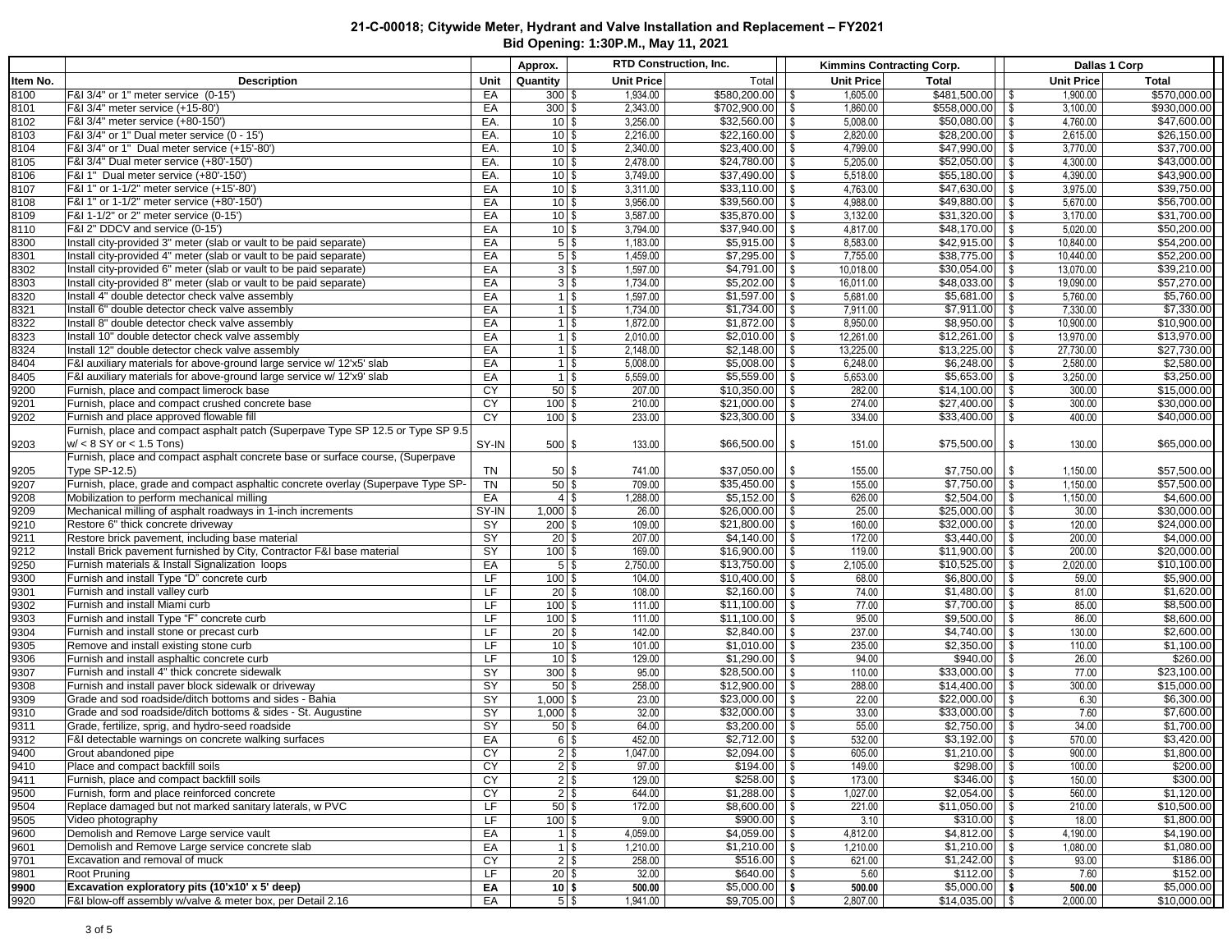|                      |                                                                                                                       |           | Approx.                                  |                      | RTD Construction, Inc.   |                                            | Kimmins Contracting Corp.                 |                        | Dallas 1 Corp              |
|----------------------|-----------------------------------------------------------------------------------------------------------------------|-----------|------------------------------------------|----------------------|--------------------------|--------------------------------------------|-------------------------------------------|------------------------|----------------------------|
| Item No.             | <b>Description</b>                                                                                                    | Unit      | Quantity                                 | <b>Unit Price</b>    | Total                    | Unit Price                                 | <b>Total</b>                              | <b>Unit Price</b>      | <b>Total</b>               |
| 8100                 | F&I 3/4" or 1" meter service (0-15')                                                                                  | EA        | $300$ \$                                 | 1,934.00             | \$580,200.00             | 1,605.00<br>$\sqrt{3}$                     | $$481,500.00$ \ \$                        | 1.900.00               | \$570,000.00               |
| 8101                 | F&I 3/4" meter service (+15-80')                                                                                      | EA        | $300$ \$                                 | 2,343.00             | $$702,900.00$ \ \ \$     | 1,860.00                                   | $$558,000.00$ \ \$                        | 3,100.00               | \$930,000.00               |
| 8102                 | F&I 3/4" meter service (+80-150')                                                                                     | EA.       | $10$ \ \$                                | 3,256.00             |                          | 5,008.00                                   | $$50,080.00$ \ \ \$                       | 4,760.00               | \$47,600.00                |
| 8103                 | F&I 3/4" or 1" Dual meter service (0 - 15')                                                                           | EA.       | $10$ \$                                  | 2,216.00             |                          | 2,820.00                                   | $\overline{$28,200.00}$ \ \$              | 2,615.00               | \$26,150.00                |
| 8104                 | F&I 3/4" or 1" Dual meter service (+15'-80')                                                                          | EA.       | $10$ \ \$                                | 2,340.00             | \$23,400.00              | 4,799.00<br>$\sqrt{3}$                     | $\frac{1}{2}$ \$47,990.00 \ \ \$          | 3,770.00               | \$37,700.00                |
| 8105                 | F&I 3/4" Dual meter service (+80'-150')                                                                               | EA.       | $10$ s                                   | 2,478.00             | \$24,780.00              | $\sqrt{3}$<br>5,205.00                     | $$52,050.00$ \ \\$                        | 4,300.00               | \$43,000.00                |
| 8106                 | F&I 1" Dual meter service (+80'-150')                                                                                 | EA.       | $10$ \ \$                                | 3,749.00             | \$37,490.00              | l \$<br>5,518.00                           | $$55,180.00$ \ \ \$                       | 4,390.00               | \$43,900.00                |
| 8107                 | F&I 1" or 1-1/2" meter service (+15'-80"                                                                              | EA        | $10$ \ \$                                | 3,311.00             | \$33,110.00              | l \$<br>4,763.00                           | $$47,630.00$ \ \ \$                       | 3,975.00               | \$39,750.00                |
| 8108                 | F&I 1" or 1-1/2" meter service (+80'-150')                                                                            | EA        | $10$ \ \$                                | 3,956.00             | \$39,560.00              | 4,988.00<br>l \$                           | $$49,880.00$ \ \$                         | 5,670.00               | \$56,700.00                |
| 8109                 | F&I 1-1/2" or 2" meter service (0-15')                                                                                | EA        | $10$ \ \$                                | 3,587.00             | \$35,870.00              | <b>S</b><br>3,132.00                       | $$31,320.00$ \ \\$                        | 3,170.00               | \$31,700.00                |
| 8110                 | F&I 2" DDCV and service (0-15')                                                                                       | EA        | $10$ \ \$                                | 3,794.00             | \$37,940.00              | $\sqrt{3}$<br>4,817.00                     | $$48,170.00$ \ \ \$                       | 5,020.00               | \$50,200.00                |
| 8300                 | Install city-provided 3" meter (slab or vault to be paid separate)                                                    | EA        | $5$   \$                                 | 1,183.00             | \$5,915.00               | 8,583.00<br>$\sqrt{3}$                     |                                           | 10,840.00              | \$54,200.00                |
| 8301                 | Install city-provided 4" meter (slab or vault to be paid separate)                                                    | EA        | $5$ \$                                   | 1,459.00             | \$7,295.00<br>\$4,791.00 | l \$<br>7,755.00                           | $$38,775.00$ \ \\$                        | 10,440.00              | \$52,200.00                |
| 8302<br>8303         | Install city-provided 6" meter (slab or vault to be paid separate)                                                    | EA<br>EA  | $3 \mid \frac{6}{5}$<br>$3$ \ $\sqrt{3}$ | 1,597.00<br>1,734.00 | \$5,202.00               | <b>S</b><br>10,018.00<br>l \$<br>16,011.00 | $$30,054.00$ \ \ \$<br>$$48,033.00$ \ \\$ | 13,070.00<br>19,090.00 | \$39,210.00<br>\$57,270.00 |
| 8320                 | Install city-provided 8" meter (slab or vault to be paid separate)<br>Install 4" double detector check valve assembly | EA        | $1$   \$                                 | 1,597.00             | \$1,597.00               | 5,681.00<br>l \$                           | $$5,681.00$ \ \ \$                        | 5,760.00               | \$5,760.00                 |
| 8321                 | Install 6" double detector check valve assembly                                                                       | EA        | $1$   \$                                 | 1,734.00             | \$1,734.00               | 7,911.00<br>l \$                           |                                           | 7,330.00               | \$7,330.00                 |
| 8322                 | Install 8" double detector check valve assembly                                                                       | EA        | $1$ \ $\frac{1}{3}$                      | 1,872.00             | \$1,872.00               | <b>S</b><br>8,950.00                       | $$8,950.00$ \ \ \$                        | 10,900.00              | \$10,900.00                |
| 8323                 | Install 10" double detector check valve assembly                                                                      | EA        | $1$ \ $\sqrt$                            | 2,010.00             | \$2,010.00               | $\sqrt{3}$<br>12,261.00                    |                                           | 13,970.00              | \$13,970.00                |
| 8324                 | Install 12" double detector check valve assembly                                                                      | EA        | $1$ \ $\sqrt$                            | 2,148.00             |                          | 13,225.00                                  |                                           | 27,730.00              | \$27,730.00                |
| 8404                 | F&I auxiliary materials for above-ground large service w/ 12'x5' slab                                                 | EA        | $1$ \ $\sqrt$                            | 5,008.00             | \$5,008.00               | 6,248.00<br>$\sqrt{3}$                     | $$6,248.00$ \ \\$                         | 2,580.00               | \$2,580.00                 |
| 8405                 | F&I auxiliary materials for above-ground large service w/ 12'x9' slab                                                 | EA        | $1$ \ $\sqrt$                            | 5,559.00             | \$5,559.00               | 5,653.00<br>l \$                           | $$5,653.00$ \ \\$                         | 3,250.00               | \$3,250.00                 |
| 9200                 | Furnish, place and compact limerock base                                                                              | <b>CY</b> | $50$ \$                                  | 207.00               | \$10,350.00              | $\sqrt{S}$<br>282.00                       | $$14,100.00$ \ \ \$                       | 300.00                 | \$15,000.00                |
| 9201                 | Furnish, place and compact crushed concrete base                                                                      | CY        | $100$ \$                                 | 210.00               | \$21,000.00              | $\sqrt{S}$<br>274.00                       | $$27,400.00$ \ \\$                        | 300.00                 | \$30,000.00                |
| 9202                 | Furnish and place approved flowable fill                                                                              | <b>CY</b> | $100$ \$                                 | 233.00               | \$23,300.00              | l \$<br>334.00                             | $$33,400.00$ \ \ \$                       | 400.00                 | \$40,000.00                |
|                      | Furnish, place and compact asphalt patch (Superpave Type SP 12.5 or Type SP 9.5)                                      |           |                                          |                      |                          |                                            |                                           |                        |                            |
| 9203                 | $w' < 8$ SY or $< 1.5$ Tons)                                                                                          | SY-IN     | $500$ \$                                 | 133.00               | \$66,500.00              | 151.00<br>l \$                             | $$75,500.00$ \ \ \$                       | 130.00                 | \$65,000.00                |
|                      | Furnish, place and compact asphalt concrete base or surface course, (Superpave                                        |           |                                          |                      |                          |                                            |                                           |                        |                            |
| 9205                 | <b>Type SP-12.5)</b>                                                                                                  | TN        | $50$ \ $\frac{6}{3}$                     | 741.00               | \$37,050.00              | l \$<br>155.00                             | $$7,750.00$ \ \ \$                        | 1,150.00               | \$57,500.00                |
| 9207                 | Furnish, place, grade and compact asphaltic concrete overlay (Superpave Type SP-                                      | <b>TN</b> | $50$ \$                                  | 709.00               | \$35,450.00              | 155.00<br>$\sqrt{3}$                       | $$7,750.00$ \ \$                          | 1,150.00               | \$57,500.00                |
| 9208                 | Mobilization to perform mechanical milling                                                                            | EA        | $4$ \ $\frac{6}{3}$                      | 1,288.00             | \$5,152.00               | <b>S</b><br>626.00                         |                                           | 1,150.00               | \$4,600.00                 |
| 9209                 | Mechanical milling of asphalt roadways in 1-inch increments                                                           | SY-IN     | $1,000$ \$                               | 26.00                | \$26,000.00              | $\sqrt{S}$<br>25.00                        | $$25,000.00$ \ \ \$                       | 30.00                  | \$30,000.00                |
| 9210                 | Restore 6" thick concrete driveway                                                                                    | <b>SY</b> | $200$ \$                                 | 109.00               | \$21,800.00              | l \$<br>160.00                             | $$32,000.00$ \ \ \$                       | 120.00                 | \$24,000.00                |
| 9211                 | Restore brick pavement, including base material                                                                       | SY        | $20$ \$                                  | 207.00               | \$4,140.00               | 172.00<br>l \$                             |                                           | 200.00                 | \$4,000.00                 |
| 9212                 | Install Brick pavement furnished by City, Contractor F&I base material                                                | SY        | $100$ \$                                 | 169.00               | \$16,900.00              | <b>S</b><br>119.00                         | $$11,900.00$ \ \ \$                       | 200.00                 | \$20,000.00                |
| 9250                 | Furnish materials & Install Signalization loops                                                                       | EA        | $5$ \ $\sqrt{3}$                         | 2,750.00             | \$13,750.00              | $\sqrt{3}$<br>2,105.00                     |                                           | 2,020.00               | \$10,100.00                |
| 9300                 | Furnish and install Type "D" concrete curb                                                                            | LF        | $100$ \$                                 | 104.00               |                          | 68.00                                      | $$6,800.00$ \ \ \$                        | 59.00                  | \$5,900.00                 |
| 9301                 | Furnish and install valley curb                                                                                       | LF        | $20$ \$                                  | 108.00               | \$2,160.00               | 74.00<br>1\$                               | $$1,480.00$ \\$                           | 81.00                  | \$1,620.00                 |
| 9302                 | Furnish and install Miami curb                                                                                        | LF        | $100$ \$                                 | 111.00               | \$11,100.00              | 77.00<br>  \$                              | $$7,700.00$ \ \ \$                        | 85.00                  | \$8,500.00                 |
| 9303                 | Furnish and install Type "F" concrete curb                                                                            | LF        | $100$ \$                                 | 111.00               | \$11,100.00              | 95.00<br>l \$                              | $$9,500.00$ \ \$                          | 86.00                  | \$8,600.00                 |
| 9304                 | Furnish and install stone or precast curb                                                                             | LF        | $20$ \$                                  | 142.00               | \$2,840.00               | l \$<br>237.00                             |                                           | 130.00                 | \$2,600.00                 |
| 9305                 | Remove and install existing stone curb                                                                                | LF        | $10$ \ \$                                | 101.00               | \$1,010.00               | 235.00<br>l \$                             |                                           | 110.00                 | \$1,100.00                 |
| 9306                 | Furnish and install asphaltic concrete curb                                                                           | LF        | $10$ S                                   | 129.00               | \$1,290.00               | 94.00<br>l \$                              | $$940.00$ \ \$                            | 26.00                  | \$260.00                   |
| 9307                 | Furnish and install 4" thick concrete sidewalk                                                                        | SY        | $300$ \$                                 | 95.00                | \$28,500.00              | $\sqrt{3}$<br>110.00                       | $$33,000.00$ \ \ \$                       | 77.00                  | \$23,100.00                |
| 9308                 | Furnish and install paver block sidewalk or driveway                                                                  | SY        | $50$ \ \$                                | 258.00               | $$12,900.00$ \ \ \$      | 288.00                                     |                                           | 300.00                 | \$15,000.00                |
| 9309                 | Grade and sod roadside/ditch bottoms and sides - Bahia                                                                | SY        | $1,000$ \$                               | 23.00                | $$23,000.00$ \ \$        | 22.00                                      | $$22,000.00$ \ \ \$                       | 6.30                   | \$6,300.00                 |
| 9310                 | Grade and sod roadside/ditch bottoms & sides - St. Augustine                                                          | SY        | $1,000$ \$                               | 32.00                | \$32,000.00              | 33.00<br>$\sqrt{3}$                        | $$33,000.00$ \ \$                         | 7.60                   | \$7,600.00                 |
| 9311                 | Grade, fertilize, sprig, and hydro-seed roadside                                                                      | <b>SY</b> | $50$ \$                                  | 64.00                | \$3,200.00               | 55.00<br><b>S</b>                          |                                           | 34.00                  | \$1,700.00                 |
|                      | F&I detectable warnings on concrete walking surfaces                                                                  | EA        | $6$ \ $$$                                | 452.00               | $\sqrt{$2,712.00}$       | $\sqrt{3}$<br>532.00                       |                                           | 570.00                 | \$3,420.00                 |
| 9312<br>9400<br>9410 | Grout abandoned pipe<br>Place and compact backfill soils                                                              | CY<br>CY  | $2$ \$<br>$2$ $\sqrt{ }$                 | 1,047.00<br>97.00    |                          | 605.00<br>149.00                           | $$298.00$ \ \$                            | 900.00<br>100.00       | \$1,800.00<br>\$200.00     |
|                      | Furnish, place and compact backfill soils                                                                             |           |                                          |                      | $$258.00$ \ \ \$         |                                            |                                           |                        | \$300.00                   |
| 9411<br>9500         | Furnish, form and place reinforced concrete                                                                           | CY<br>CY  | $2$ \$<br>$2$ \$                         | 129.00<br>644.00     |                          | 173.00<br>1,027.00                         | $$346.00$ \ \ \$<br>$$2,054.00$ \ \ \$    | 150.00<br>560.00       | \$1,120.00                 |
| 9504                 | Replace damaged but not marked sanitary laterals, w PVC                                                               | LF        | $50$ \$                                  | 172.00               |                          | 221.00                                     |                                           | 210.00                 | \$10,500.00                |
| 9505                 | Video photography                                                                                                     | LF        | $100$ \$                                 | 9.00                 | $$900.00$ \ \$           | 3.10                                       | $$310.00$ \ \$                            | 18.00                  | \$1,800.00                 |
| 9600                 | Demolish and Remove Large service vault                                                                               | EA        | $1$ \ $\sqrt$                            | 4,059.00             | \$4,059.00               | $\sqrt{3}$<br>4,812.00                     |                                           | 4,190.00               | \$4.190.00                 |
| 9601                 | Demolish and Remove Large service concrete slab                                                                       | EA        | $1 \,$ $\sqrt{3}$                        | 1,210.00             |                          | 1,210.00                                   |                                           | 1,080.00               | \$1,080.00                 |
| 9701                 | Excavation and removal of muck                                                                                        | CY        | $2$ \$                                   | 258.00               | \$516.00                 | $\sqrt{S}$<br>621.00                       |                                           | 93.00                  | \$186.00                   |
| 9801                 | Root Pruning                                                                                                          | LF        | $20$ \$                                  | 32.00                | \$640.00                 | 5.60<br>$\sqrt{S}$                         |                                           | 7.60                   | \$152.00                   |
| 9900                 | Excavation exploratory pits (10'x10' x 5' deep)                                                                       | EA        | 10 S                                     | 500.00               | \$5,000.00               | 500.00<br>$\sqrt{2}$                       | $$5,000.00$ \ \ \$                        | 500.00                 | \$5,000.00                 |
| 9920                 | F&I blow-off assembly w/valve & meter box, per Detail 2.16                                                            | EA        | $5$ $\sqrt$                              | 1,941.00             | $$9,705.00$ \ \ \$       | 2,807.00                                   | $$14,035.00$ \ \ \$                       | 2,000.00               | \$10,000.00                |
|                      |                                                                                                                       |           |                                          |                      |                          |                                            |                                           |                        |                            |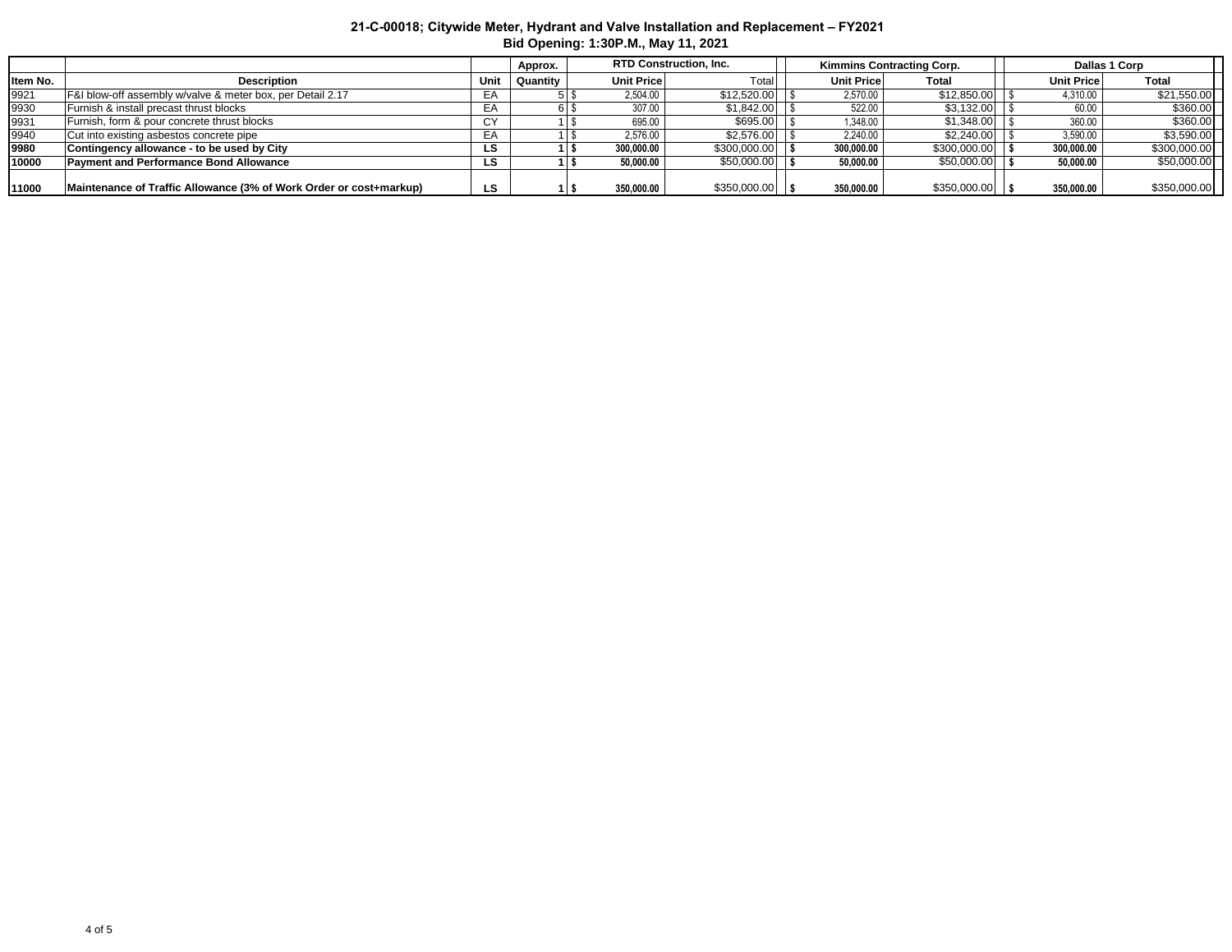|          |                                                                    |      | Approx.  | <b>RTD Construction, Inc.</b> |              | Kimmins Contracting Corp. |            |              | Dallas 1 Corp     |              |  |
|----------|--------------------------------------------------------------------|------|----------|-------------------------------|--------------|---------------------------|------------|--------------|-------------------|--------------|--|
| Item No. | <b>Description</b>                                                 | Unit | Quantity | <b>Unit Pricel</b>            | Total        |                           | Unit Price | Total        | <b>Unit Price</b> | Total        |  |
| 9921     | F&I blow-off assembly w/valve & meter box, per Detail 2.17         | EA   |          | 2.504.00                      | \$12,520.00  |                           | 2.570.00   | \$12,850.00  | 4,310.00          | \$21,550.00  |  |
| 9930     | Furnish & install precast thrust blocks                            | EA   |          | 307.00                        | \$1,842.00   |                           | 522.00     | \$3,132.00   | 60.00             | \$360.00     |  |
| 9931     | Furnish, form & pour concrete thrust blocks                        | СY   |          | 695.00                        | \$695.00     |                           | 1.348.00   | \$1,348.00   | 360.00            | \$360.00     |  |
| 9940     | Cut into existing asbestos concrete pipe                           | EA   |          | 2.576.00                      | \$2,576.00   |                           | 2.240.00   | \$2,240,00   | 3.590.00          | \$3,590.00   |  |
| 9980     | Contingency allowance - to be used by City                         | LS   |          | 300.000.00                    | \$300,000.00 |                           | 300.000.00 | \$300,000.00 | 300.000.00        | \$300,000.00 |  |
| 10000    | <b>Payment and Performance Bond Allowance</b>                      | LS   |          | 50.000.00                     | \$50,000.00  |                           | 50.000.00  | \$50,000.00  | 50.000.00         | \$50,000.00  |  |
|          |                                                                    |      |          |                               |              |                           |            |              |                   |              |  |
| 11000    | Maintenance of Traffic Allowance (3% of Work Order or cost+markup) | LS   |          | 350,000,00                    | \$350,000.00 |                           | 350,000,00 | \$350,000.00 | 350,000.00        | \$350,000.00 |  |